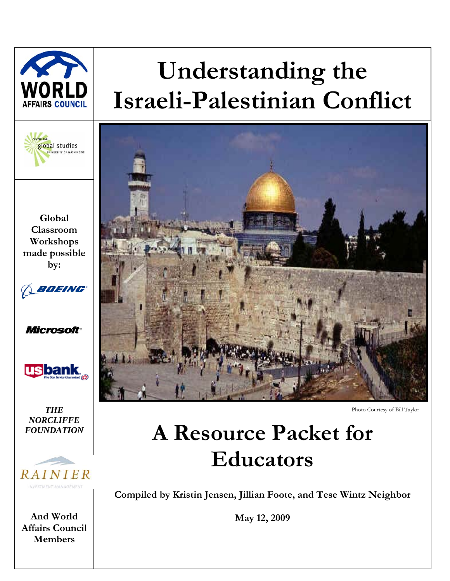



**Global Classroom Workshops made possible by:** 











**And World Affairs Council Members** 

# **Understanding the Israeli-Palestinian Conflict**



Photo Courtesy of Bill Taylor

# **A Resource Packet for Educators**

**Compiled by Kristin Jensen, Jillian Foote, and Tese Wintz Neighbor** 

**May 12, 2009**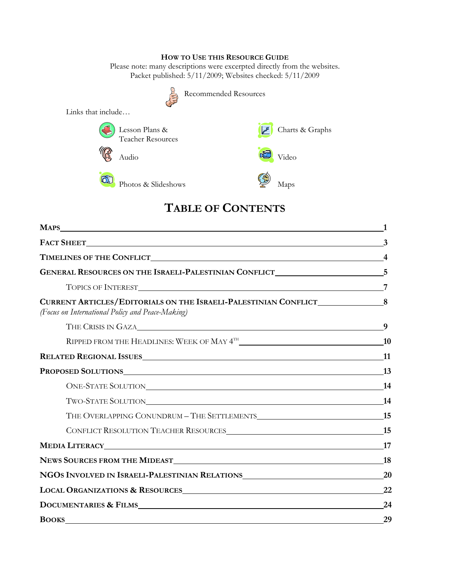# **HOW TO USE THIS RESOURCE GUIDE**

Please note: many descriptions were excerpted directly from the websites. Packet published: 5/11/2009; Websites checked: 5/11/2009



# **TABLE OF CONTENTS**

|                                                                                                                                        | 3              |
|----------------------------------------------------------------------------------------------------------------------------------------|----------------|
|                                                                                                                                        | $\overline{4}$ |
| GENERAL RESOURCES ON THE ISRAELI-PALESTINIAN CONFLICT_________________________5                                                        |                |
|                                                                                                                                        | 7              |
| CURRENT ARTICLES/EDITORIALS ON THE ISRAELI-PALESTINIAN CONFLICT__________________8<br>(Focus on International Policy and Peace-Making) |                |
| THE CRISIS IN GAZA                                                                                                                     | 9              |
|                                                                                                                                        | <b>10</b>      |
| RELATED REGIONAL ISSUES 11                                                                                                             |                |
| PROPOSED SOLUTIONS 13                                                                                                                  |                |
|                                                                                                                                        | 14             |
| TWO-STATE SOLUTION 14                                                                                                                  |                |
|                                                                                                                                        |                |
|                                                                                                                                        |                |
|                                                                                                                                        |                |
|                                                                                                                                        | 18             |
| NGOS INVOLVED IN ISRAELI-PALESTINIAN RELATIONS__________________________________                                                       | <b>20</b>      |
| LOCAL ORGANIZATIONS & RESOURCES 22                                                                                                     |                |
|                                                                                                                                        | 24             |
| <b>BOOKS</b><br><u> 1989 - Johann Stoff, deutscher Stoff, der Stoff, der Stoff, der Stoff, der Stoff, der Stoff, der Stoff, der S</u>  | 29             |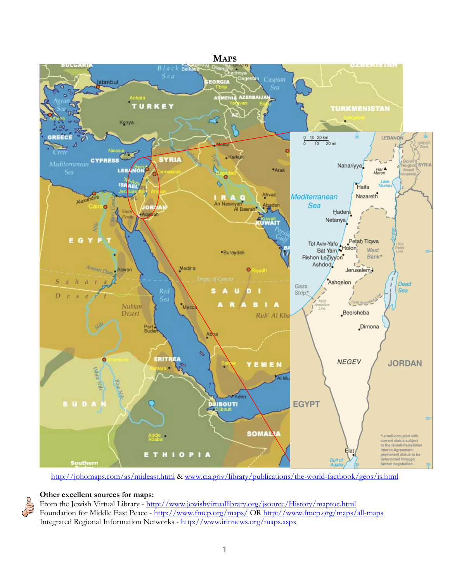

http://johomaps.com/as/mideast.html & www.cia.gov/library/publications/the-world-factbook/geos/is.html



# **Other excellent sources for maps:**

From the Jewish Virtual Library - http://www.jewishvirtuallibrary.org/jsource/History/maptoc.html Foundation for Middle East Peace - http://www.fmep.org/maps/ OR http://www.fmep.org/maps/all-maps Integrated Regional Information Networks - http://www.irinnews.org/maps.aspx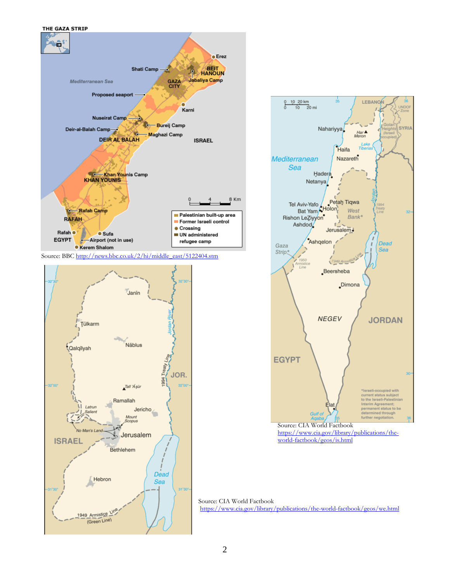





world-factbook/geos/is.html

 Source: CIA World Factbook https://www.cia.gov/library/publications/the-world-factbook/geos/we.html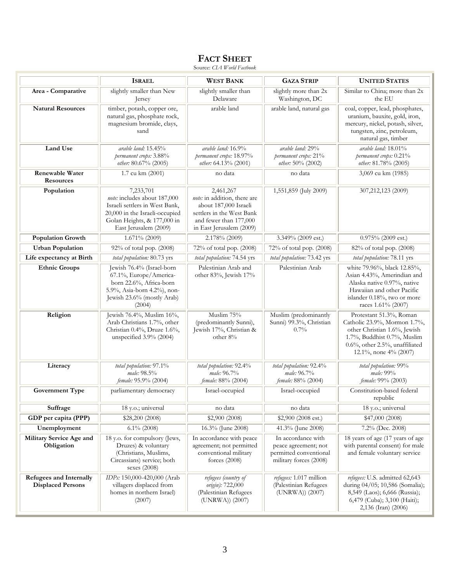# **FACT SHEET**

|  | Source: CIA World Factbook |
|--|----------------------------|
|  |                            |

|                                                            | <b>ISRAEL</b>                                                                                                                                                         | <b>WEST BANK</b>                                                                                                                                      | <b>GAZA STRIP</b>                                                                              | <b>UNITED STATES</b>                                                                                                                                                                 |
|------------------------------------------------------------|-----------------------------------------------------------------------------------------------------------------------------------------------------------------------|-------------------------------------------------------------------------------------------------------------------------------------------------------|------------------------------------------------------------------------------------------------|--------------------------------------------------------------------------------------------------------------------------------------------------------------------------------------|
| Area - Comparative                                         | slightly smaller than New<br>Jersey                                                                                                                                   | slightly smaller than<br>Delaware                                                                                                                     | slightly more than 2x<br>Washington, DC                                                        | Similar to China; more than 2x<br>the EU                                                                                                                                             |
| <b>Natural Resources</b>                                   | timber, potash, copper ore,<br>natural gas, phosphate rock,<br>magnesium bromide, clays,<br>sand                                                                      | arable land                                                                                                                                           | arable land, natural gas                                                                       | coal, copper, lead, phosphates,<br>uranium, bauxite, gold, iron,<br>mercury, nickel, potash, silver,<br>tungsten, zinc, petroleum,<br>natural gas, timber                            |
| Land Use                                                   | arable land: 15.45%<br>permanent crops: 3.88%<br>other: 80.67% (2005)                                                                                                 | arable land: 16.9%<br>permanent crops: 18.97%<br>other: 64.13% (2001)                                                                                 | arable land: 29%<br>permanent crops: 21%<br>other: 50% (2002)                                  | arable land: 18.01%<br>permanent crops: 0.21%<br>other: 81.78% (2005)                                                                                                                |
| <b>Renewable Water</b><br><b>Resources</b>                 | 1.7 cu km (2001)                                                                                                                                                      | no data                                                                                                                                               | no data                                                                                        | 3,069 cu km (1985)                                                                                                                                                                   |
| Population                                                 | 7,233,701<br>note: includes about 187,000<br>Israeli settlers in West Bank,<br>20,000 in the Israeli-occupied<br>Golan Heights, & 177,000 in<br>East Jerusalem (2009) | 2,461,267<br>note: in addition, there are<br>about 187,000 Israeli<br>settlers in the West Bank<br>and fewer than 177,000<br>in East Jerusalem (2009) | 1,551,859 (July 2009)                                                                          | 307,212,123 (2009)                                                                                                                                                                   |
| <b>Population Growth</b>                                   | $1.671\%$ (2009)                                                                                                                                                      | 2.178% (2009)                                                                                                                                         | 3.349% (2009 est.)                                                                             | $0.975\%$ (2009 est.)                                                                                                                                                                |
| <b>Urban Population</b>                                    | 92% of total pop. (2008)                                                                                                                                              | 72% of total pop. (2008)                                                                                                                              | 72% of total pop. (2008)                                                                       | 82% of total pop. (2008)                                                                                                                                                             |
| Life expectancy at Birth                                   | total population: 80.73 yrs                                                                                                                                           | total population: 74.54 yrs                                                                                                                           | total population: 73.42 yrs                                                                    | total population: 78.11 yrs                                                                                                                                                          |
| <b>Ethnic Groups</b>                                       | Jewish 76.4% (Israel-born<br>67.1%, Europe/America-<br>born 22.6%, Africa-born<br>5.9%, Asia-born 4.2%), non-<br>Jewish 23.6% (mostly Arab)<br>(2004)                 | Palestinian Arab and<br>other 83%, Jewish 17%                                                                                                         | Palestinian Arab                                                                               | white 79.96%, black 12.85%,<br>Asian 4.43%, Amerindian and<br>Alaska native 0.97%, native<br>Hawaiian and other Pacific<br>islander 0.18%, two or more<br>races 1.61% (2007)         |
| Religion                                                   | Jewish 76.4%, Muslim 16%,<br>Arab Christians 1.7%, other<br>Christian 0.4%, Druze 1.6%,<br>unspecified $3.9\%$ (2004)                                                 | Muslim 75%<br>(predominantly Sunni),<br>Jewish 17%, Christian &<br>other 8%                                                                           | Muslim (predominantly<br>Sunni) 99.3%, Christian<br>$0.7\%$                                    | Protestant 51.3%, Roman<br>Catholic 23.9%, Mormon 1.7%,<br>other Christian 1.6%, Jewish<br>1.7%, Buddhist 0.7%, Muslim<br>0.6%, other 2.5%, unaffiliated<br>12.1%, none $4\%$ (2007) |
| Literacy                                                   | total population: 97.1%<br>male: 98.5%<br>female: 95.9% (2004)                                                                                                        | total population: 92.4%<br>male: 96.7%<br>female: 88% (2004)                                                                                          | total population: 92.4%<br>male: 96.7%<br>female: 88% (2004)                                   | total population: 99%<br>male: 99%<br>female: 99% (2003)                                                                                                                             |
| <b>Government Type</b>                                     | parliamentary democracy                                                                                                                                               | Israel-occupied                                                                                                                                       | Israel-occupied                                                                                | Constitution-based federal<br>republic                                                                                                                                               |
| Suffrage                                                   | 18 y.o.; universal                                                                                                                                                    | no data                                                                                                                                               | no data                                                                                        | 18 y.o.; universal                                                                                                                                                                   |
| GDP per capita (PPP)                                       | \$28,200 (2008)                                                                                                                                                       | \$2,900 (2008)                                                                                                                                        | \$2,900 (2008 est.)                                                                            | \$47,000 (2008)                                                                                                                                                                      |
| Unemployment                                               | $6.1\%$ (2008)                                                                                                                                                        | 16.3% (June 2008)                                                                                                                                     | 41.3% (June 2008)                                                                              | 7.2% (Dec. 2008)                                                                                                                                                                     |
| Military Service Age and<br>Obligation                     | 18 y.o. for compulsory (Jews,<br>Druzes) & voluntary<br>(Christians, Muslims,<br>Circassians) service; both<br>sexes (2008)                                           | In accordance with peace<br>agreement; not permitted<br>conventional military<br>forces (2008)                                                        | In accordance with<br>peace agreement; not<br>permitted conventional<br>military forces (2008) | 18 years of age (17 years of age<br>with parental consent) for male<br>and female voluntary service                                                                                  |
| <b>Refugees and Internally</b><br><b>Displaced Persons</b> | IDPs: 150,000-420,000 (Arab<br>villagers displaced from<br>homes in northern Israel)<br>(2007)                                                                        | refugees (country of<br>origin): 722,000<br>(Palestinian Refugees<br>(UNRWA)) (2007)                                                                  | refugees: 1.017 million<br>(Palestinian Refugees<br>(UNRWA)) (2007)                            | refugees: U.S. admitted 62,643<br>during 04/05; 10,586 (Somalia);<br>8,549 (Laos); 6,666 (Russia);<br>6,479 (Cuba); 3,100 (Haiti);<br>2,136 (Iran) (2006)                            |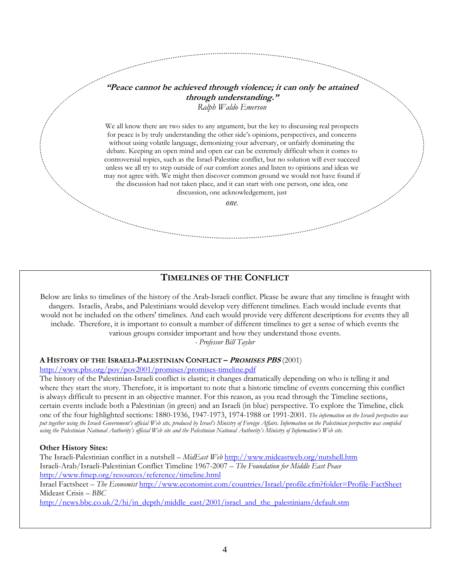# **"Peace cannot be achieved through violence; it can only be attained through understanding."**

*Ralph Waldo Emerson*

We all know there are two sides to any argument, but the key to discussing real prospects for peace is by truly understanding the other side's opinions, perspectives, and concerns without using volatile language, demonizing your adversary, or unfairly dominating the debate. Keeping an open mind and open ear can be extremely difficult when it comes to controversial topics, such as the Israel-Palestine conflict, but no solution will ever succeed unless we all try to step outside of our comfort zones and listen to opinions and ideas we may not agree with. We might then discover common ground we would not have found if the discussion had not taken place, and it can start with one person, one idea, one

discussion, one acknowledgement, just

*one*.

# **TIMELINES OF THE CONFLICT**

Below are links to timelines of the history of the Arab-Israeli conflict. Please be aware that any timeline is fraught with dangers. Israelis, Arabs, and Palestinians would develop very different timelines. Each would include events that would not be included on the others' timelines. And each would provide very different descriptions for events they all include. Therefore, it is important to consult a number of different timelines to get a sense of which events the various groups consider important and how they understand those events.

*- Professor Bill Taylor* 

# **A HISTORY OF THE ISRAELI-PALESTINIAN CONFLICT – <sup>P</sup>ROMISES PBS** (2001)

#### http://www.pbs.org/pov/pov2001/promises/promises-timeline.pdf

The history of the Palestinian-Israeli conflict is elastic; it changes dramatically depending on who is telling it and where they start the story. Therefore, it is important to note that a historic timeline of events concerning this conflict is always difficult to present in an objective manner. For this reason, as you read through the Timeline sections, certain events include both a Palestinian (in green) and an Israeli (in blue) perspective. To explore the Timeline, click one of the four highlighted sections: 1880-1936, 1947-1973, 1974-1988 or 1991-2001. *The information on the Israeli perspective was put together using the Israeli Government's official Web site, produced by Israel's Ministry of Foreign Affairs. Information on the Palestinian perspective was compiled using the Palestinian National Authority's official Web site and the Palestinian National Authority's Ministry of Information's Web site.* 

#### **Other History Sites:**

The Israeli-Palestinian conflict in a nutshell – *MidEast Web* http://www.mideastweb.org/nutshell.htm Israeli-Arab/Israeli-Palestinian Conflict Timeline 1967-2007 – *The Foundation for Middle East Peace* http://www.fmep.org/resources/reference/timeline.html Israel Factsheet – *The Economist* http://www.economist.com/countries/Israel/profile.cfm?folder=Profile-FactSheet Mideast Crisis – *BBC* http://news.bbc.co.uk/2/hi/in\_depth/middle\_east/2001/israel\_and\_the\_palestinians/default.stm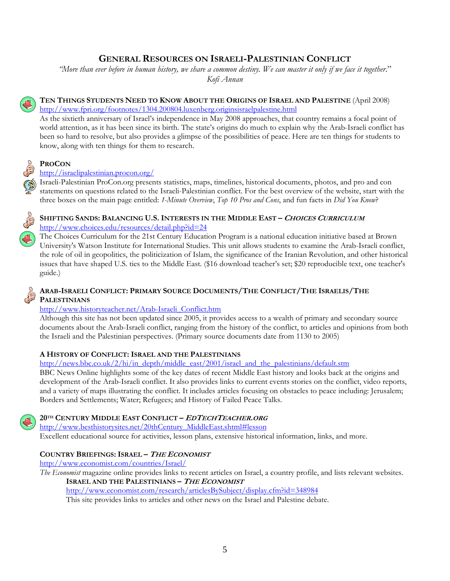# **GENERAL RESOURCES ON ISRAELI-PALESTINIAN CONFLICT**

*"More than ever before in human history, we share a common destiny. We can master it only if we face it together*." *Kofi Annan* 



## **TEN THINGS STUDENTS NEED TO KNOW ABOUT THE ORIGINS OF ISRAEL AND PALESTINE** (April 2008) http://www.fpri.org/footnotes/1304.200804.luxenberg.originsisraelpalestine.html

As the sixtieth anniversary of Israel's independence in May 2008 approaches, that country remains a focal point of world attention, as it has been since its birth. The state's origins do much to explain why the Arab-Israeli conflict has been so hard to resolve, but also provides a glimpse of the possibilities of peace. Here are ten things for students to know, along with ten things for them to research.

# **PROCON**

# http://israelipalestinian.procon.org/

Israeli-Palestinian ProCon.org presents statistics, maps, timelines, historical documents, photos, and pro and con statements on questions related to the Israeli-Palestinian conflict. For the best overview of the website, start with the three boxes on the main page entitled: *1-Minute Overview*, *Top 10 Pros and Cons*, and fun facts in *Did You Know*?



# **SHIFTING SANDS: BALANCING U.S. INTERESTS IN THE MIDDLE EAST – <sup>C</sup>HOICES CURRICULUM** http://www.choices.edu/resources/detail.php?id=24

The Choices Curriculum for the 21st Century Education Program is a national education initiative based at Brown University's Watson Institute for International Studies. This unit allows students to examine the Arab-Israeli conflict, the role of oil in geopolitics, the politicization of Islam, the significance of the Iranian Revolution, and other historical issues that have shaped U.S. ties to the Middle East. (\$16 download teacher's set; \$20 reproducible text, one teacher's guide.)

# **ARAB-ISRAELI CONFLICT: PRIMARY SOURCE DOCUMENTS/THE CONFLICT/THE ISRAELIS/THE PALESTINIANS**

# http://www.historyteacher.net/Arab-Israeli\_Conflict.htm

Although this site has not been updated since 2005, it provides access to a wealth of primary and secondary source documents about the Arab-Israeli conflict, ranging from the history of the conflict, to articles and opinions from both the Israeli and the Palestinian perspectives. (Primary source documents date from 1130 to 2005)

# **A HISTORY OF CONFLICT: ISRAEL AND THE PALESTINIANS**

http://news.bbc.co.uk/2/hi/in\_depth/middle\_east/2001/israel\_and\_the\_palestinians/default.stm

BBC News Online highlights some of the key dates of recent Middle East history and looks back at the origins and development of the Arab-Israeli conflict. It also provides links to current events stories on the conflict, video reports, and a variety of maps illustrating the conflict. It includes articles focusing on obstacles to peace including: Jerusalem; Borders and Settlements; Water; Refugees; and History of Failed Peace Talks.

# **20TH CENTURY MIDDLE EAST CONFLICT – <sup>E</sup>DTECHTEACHER.ORG**

http://www.besthistorysites.net/20thCentury\_MiddleEast.shtml#lesson Excellent educational source for activities, lesson plans, extensive historical information, links, and more.

# **COUNTRY BRIEFINGS: ISRAEL – <sup>T</sup>HE <sup>E</sup>CONOMIST**

http://www.economist.com/countries/Israel/

*The Economist* magazine online provides links to recent articles on Israel, a country profile, and lists relevant websites. **ISRAEL AND THE PALESTINIANS – <sup>T</sup>HE <sup>E</sup>CONOMIST**

http://www.economist.com/research/articlesBySubject/display.cfm?id=348984

This site provides links to articles and other news on the Israel and Palestine debate.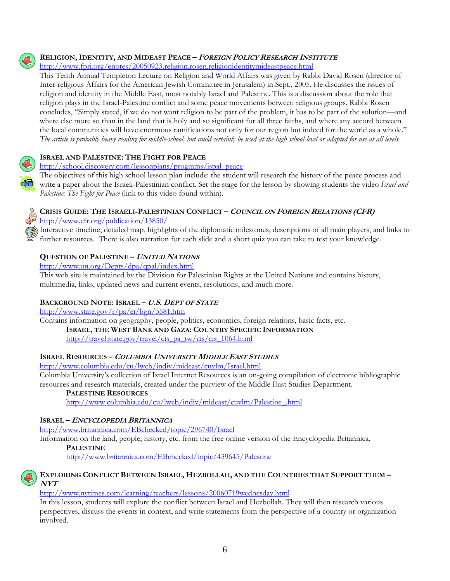

# **RELIGION, IDENTITY, AND MIDEAST PEACE – <sup>F</sup>OREIGN <sup>P</sup>OLICY RESEARCH INSTITUTE**

http://www.fpri.org/enotes/20050923.religion.rosen.religionidentitymideastpeace.html

This Tenth Annual Templeton Lecture on Religion and World Affairs was given by Rabbi David Rosen (director of Inter-religious Affairs for the American Jewish Committee in Jerusalem) in Sept., 2005. He discusses the issues of religion and identity in the Middle East, most notably Israel and Palestine. This is a discussion about the role that religion plays in the Israel-Palestine conflict and some peace movements between religious groups. Rabbi Rosen concludes, "Simply stated, if we do not want religion to be part of the problem, it has to be part of the solution—and where else more so than in the land that is holy and so significant for all three faiths, and where any accord between the local communities will have enormous ramifications not only for our region but indeed for the world as a whole." *The article is probably heavy reading for middle-school, but could certainly be used at the high school level or adapted for use at all levels.*

# **ISRAEL AND PALESTINE: THE FIGHT FOR PEACE**

# http://school.discovery.com/lessonplans/programs/ispal\_peace

The objectives of this high school lesson plan include: the student will research the history of the peace process and write a paper about the Israeli-Palestinian conflict. Set the stage for the lesson by showing students the video *Israel and Palestine: The Fight for Peace* (link to this video found within).



# **CRISIS GUIDE: THE ISRAELI-PALESTINIAN CONFLICT – <sup>C</sup>OUNCIL ON FOREIGN RELATIONS (CFR)** http://www.cfr.org/publication/13850/

Interactive timeline, detailed map, highlights of the diplomatic milestones, descriptions of all main players, and links to further resources. There is also narration for each slide and a short quiz you can take to test your knowledge.

# **QUESTION OF PALESTINE – <sup>U</sup>NITED NATIONS**

http://www.un.org/Depts/dpa/qpal/index.html

This web site is maintained by the Division for Palestinian Rights at the United Nations and contains history, multimedia, links, updated news and current events, resolutions, and much more.

# **BACKGROUND NOTE: ISRAEL – U.S. <sup>D</sup>EPT OF STATE**

http://www.state.gov/r/pa/ei/bgn/3581.htm Contains information on geography, people, politics, economics, foreign relations, basic facts, etc. **ISRAEL, THE WEST BANK AND GAZA: COUNTRY SPECIFIC INFORMATION** http://travel.state.gov/travel/cis\_pa\_tw/cis/cis\_1064.html

# **ISRAEL RESOURCES – <sup>C</sup>OLUMBIA <sup>U</sup>NIVERSITY MIDDLE EAST STUDIES**

http://www.columbia.edu/cu/lweb/indiv/mideast/cuvlm/Israel.html

Columbia University's collection of Israel Internet Resources is an on-going compilation of electronic bibliographic resources and research materials, created under the purview of the Middle East Studies Department.

# **PALESTINE RESOURCES**

http://www.columbia.edu/cu/lweb/indiv/mideast/cuvlm/Palestine\_.html

# **ISRAEL – <sup>E</sup>NCYCLOPEDIA BRITANNICA**

http://www.britannica.com/EBchecked/topic/296740/Israel

Information on the land, people, history, etc. from the free online version of the Encyclopedia Britannica.

# **PALESTINE**

http://www.britannica.com/EBchecked/topic/439645/Palestine

# **EXPLORING CONFLICT BETWEEN ISRAEL, HEZBOLLAH, AND THE COUNTRIES THAT SUPPORT THEM – NYT**

# http://www.nytimes.com/learning/teachers/lessons/20060719wednesday.html

In this lesson, students will explore the conflict between Israel and Hezbollah. They will then research various perspectives, discuss the events in context, and write statements from the perspective of a country or organization involved.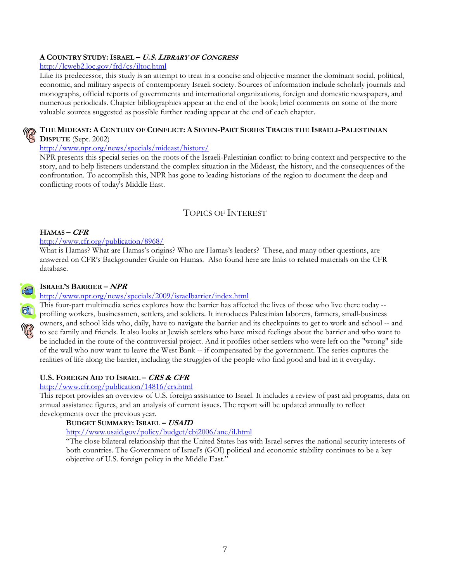# **A COUNTRY STUDY: ISRAEL – U.S. <sup>L</sup>IBRARY OF CONGRESS**

# http://lcweb2.loc.gov/frd/cs/iltoc.html

Like its predecessor, this study is an attempt to treat in a concise and objective manner the dominant social, political, economic, and military aspects of contemporary Israeli society. Sources of information include scholarly journals and monographs, official reports of governments and international organizations, foreign and domestic newspapers, and numerous periodicals. Chapter bibliographies appear at the end of the book; brief comments on some of the more valuable sources suggested as possible further reading appear at the end of each chapter.

# **THE MIDEAST: A CENTURY OF CONFLICT: A SEVEN-PART SERIES TRACES THE ISRAELI-PALESTINIAN DISPUTE** (Sept. 2002)

# http://www.npr.org/news/specials/mideast/history/

NPR presents this special series on the roots of the Israeli-Palestinian conflict to bring context and perspective to the story, and to help listeners understand the complex situation in the Mideast, the history, and the consequences of the confrontation. To accomplish this, NPR has gone to leading historians of the region to document the deep and conflicting roots of today's Middle East.

# TOPICS OF INTEREST

# **HAMAS – CFR**

# http://www.cfr.org/publication/8968/

What is Hamas? What are Hamas's origins? Who are Hamas's leaders? These, and many other questions, are answered on CFR's Backgrounder Guide on Hamas. Also found here are links to related materials on the CFR database.

# **ISRAEL'S BARRIER – NPR**

# http://www.npr.org/news/specials/2009/israelbarrier/index.html



This four-part multimedia series explores how the barrier has affected the lives of those who live there today - profiling workers, businessmen, settlers, and soldiers. It introduces Palestinian laborers, farmers, small-business owners, and school kids who, daily, have to navigate the barrier and its checkpoints to get to work and school -- and to see family and friends. It also looks at Jewish settlers who have mixed feelings about the barrier and who want to be included in the route of the controversial project. And it profiles other settlers who were left on the "wrong" side of the wall who now want to leave the West Bank -- if compensated by the government. The series captures the realities of life along the barrier, including the struggles of the people who find good and bad in it everyday.

# **U.S. FOREIGN AID TO ISRAEL – CRS & CFR**

# http://www.cfr.org/publication/14816/crs.html

This report provides an overview of U.S. foreign assistance to Israel. It includes a review of past aid programs, data on annual assistance figures, and an analysis of current issues. The report will be updated annually to reflect developments over the previous year.

# **BUDGET SUMMARY: ISRAEL – USAID**

# http://www.usaid.gov/policy/budget/cbj2006/ane/il.html

"The close bilateral relationship that the United States has with Israel serves the national security interests of both countries. The Government of Israel's (GOI) political and economic stability continues to be a key objective of U.S. foreign policy in the Middle East."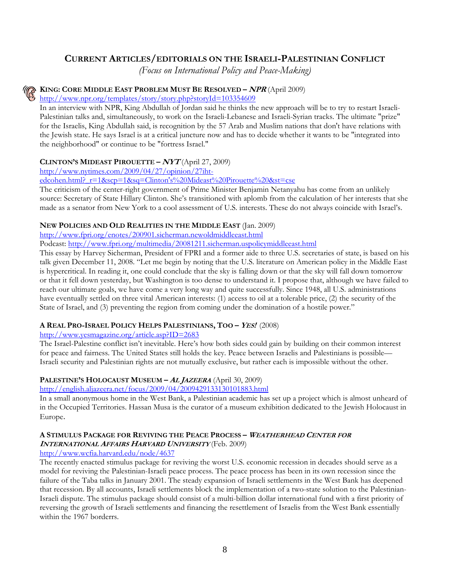# **CURRENT ARTICLES/EDITORIALS ON THE ISRAELI-PALESTINIAN CONFLICT**

*(Focus on International Policy and Peace-Making)* 

# **KING: CORE MIDDLE EAST PROBLEM MUST BE RESOLVED – NPR** (April 2009)

# http://www.npr.org/templates/story/story.php?storyId=103354609

In an interview with NPR, King Abdullah of Jordan said he thinks the new approach will be to try to restart Israeli-Palestinian talks and, simultaneously, to work on the Israeli-Lebanese and Israeli-Syrian tracks. The ultimate "prize" for the Israelis, King Abdullah said, is recognition by the 57 Arab and Muslim nations that don't have relations with the Jewish state. He says Israel is at a critical juncture now and has to decide whether it wants to be "integrated into the neighborhood" or continue to be "fortress Israel."

# **CLINTON'S MIDEAST PIROUETTE – NYT** (April 27, 2009)

http://www.nytimes.com/2009/04/27/opinion/27iht-

edcohen.html?\_r=1&scp=1&sq=Clinton's%20Mideast%20Pirouette%20&st=cse

The criticism of the center-right government of Prime Minister Benjamin Netanyahu has come from an unlikely source: Secretary of State Hillary Clinton. She's transitioned with aplomb from the calculation of her interests that she made as a senator from New York to a cool assessment of U.S. interests. These do not always coincide with Israel's.

# **NEW POLICIES AND OLD REALITIES IN THE MIDDLE EAST** (Jan. 2009)

http://www.fpri.org/enotes/200901.sicherman.newoldmiddleeast.html

Podcast: http://www.fpri.org/multimedia/20081211.sicherman.uspolicymiddleeast.html

This essay by Harvey Sicherman, President of FPRI and a former aide to three U.S. secretaries of state, is based on his talk given December 11, 2008. "Let me begin by noting that the U.S. literature on American policy in the Middle East is hypercritical. In reading it, one could conclude that the sky is falling down or that the sky will fall down tomorrow or that it fell down yesterday, but Washington is too dense to understand it. I propose that, although we have failed to reach our ultimate goals, we have come a very long way and quite successfully. Since 1948, all U.S. administrations have eventually settled on three vital American interests: (1) access to oil at a tolerable price, (2) the security of the State of Israel, and (3) preventing the region from coming under the domination of a hostile power."

# **A REAL PRO-ISRAEL POLICY HELPS PALESTINIANS, TOO – <sup>Y</sup>ES!** (2008)

http://www.yesmagazine.org/article.asp?ID=2683

The Israel-Palestine conflict isn't inevitable. Here's how both sides could gain by building on their common interest for peace and fairness. The United States still holds the key. Peace between Israelis and Palestinians is possible— Israeli security and Palestinian rights are not mutually exclusive, but rather each is impossible without the other.

# PALESTINE'S HOLOCAUST MUSEUM – AL JAZEERA (April 30, 2009)

# http://english.aljazeera.net/focus/2009/04/2009429133130101883.html

In a small anonymous home in the West Bank, a Palestinian academic has set up a project which is almost unheard of in the Occupied Territories. Hassan Musa is the curator of a museum exhibition dedicated to the Jewish Holocaust in Europe.

# **A STIMULUS PACKAGE FOR REVIVING THE PEACE PROCESS – <sup>W</sup>EATHERHEAD CENTER FOR <sup>I</sup>NTERNATIONAL AFFAIRS HARVARD UNIVERSITY** (Feb. 2009)

# http://www.wcfia.harvard.edu/node/4637

The recently enacted stimulus package for reviving the worst U.S. economic recession in decades should serve as a model for reviving the Palestinian-Israeli peace process. The peace process has been in its own recession since the failure of the Taba talks in January 2001. The steady expansion of Israeli settlements in the West Bank has deepened that recession. By all accounts, Israeli settlements block the implementation of a two-state solution to the Palestinian-Israeli dispute. The stimulus package should consist of a multi-billion dollar international fund with a first priority of reversing the growth of Israeli settlements and financing the resettlement of Israelis from the West Bank essentially within the 1967 borderrs.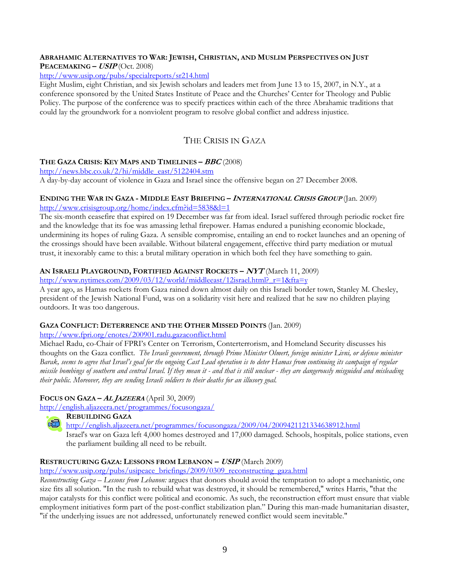# **ABRAHAMIC ALTERNATIVES TO WAR: JEWISH, CHRISTIAN, AND MUSLIM PERSPECTIVES ON JUST PEACEMAKING – USIP** (Oct. 2008)

http://www.usip.org/pubs/specialreports/sr214.html

Eight Muslim, eight Christian, and six Jewish scholars and leaders met from June 13 to 15, 2007, in N.Y., at a conference sponsored by the United States Institute of Peace and the Churches' Center for Theology and Public Policy. The purpose of the conference was to specify practices within each of the three Abrahamic traditions that could lay the groundwork for a nonviolent program to resolve global conflict and address injustice.

# THE CRISIS IN GAZA

# **THE GAZA CRISIS: KEY MAPS AND TIMELINES – BBC** (2008)

http://news.bbc.co.uk/2/hi/middle\_east/5122404.stm A day-by-day account of violence in Gaza and Israel since the offensive began on 27 December 2008.

# **ENDING THE WAR IN GAZA - MIDDLE EAST BRIEFING – <sup>I</sup>NTERNATIONAL <sup>C</sup>RISIS GROUP** (Jan. 2009)

http://www.crisisgroup.org/home/index.cfm?id=5838&l=1

The six-month ceasefire that expired on 19 December was far from ideal. Israel suffered through periodic rocket fire and the knowledge that its foe was amassing lethal firepower. Hamas endured a punishing economic blockade, undermining its hopes of ruling Gaza. A sensible compromise, entailing an end to rocket launches and an opening of the crossings should have been available. Without bilateral engagement, effective third party mediation or mutual trust, it inexorably came to this: a brutal military operation in which both feel they have something to gain.

# **AN ISRAELI PLAYGROUND, FORTIFIED AGAINST ROCKETS – NYT** (March 11, 2009)

http://www.nytimes.com/2009/03/12/world/middleeast/12israel.html?\_r=1&fta=y

A year ago, as Hamas rockets from Gaza rained down almost daily on this Israeli border town, Stanley M. Chesley, president of the Jewish National Fund, was on a solidarity visit here and realized that he saw no children playing outdoors. It was too dangerous.

# **GAZA CONFLICT: DETERRENCE AND THE OTHER MISSED POINTS** (Jan. 2009)

# http://www.fpri.org/enotes/200901.radu.gazaconflict.html

Michael Radu, co-Chair of FPRI's Center on Terrorism, Conterterrorism, and Homeland Security discusses his thoughts on the Gaza conflict. *The Israeli government, through Prime Minister Olmert, foreign minister Livni, or defense minister Barak, seems to agree that Israel's goal for the ongoing Cast Lead operation is to deter Hamas from continuing its campaign of regular missile bombings of southern and central Israel. If they mean it - and that is still unclear - they are dangerously misguided and misleading their public. Moreover, they are sending Israeli soldiers to their deaths for an illusory goal.*

# **FOCUS ON GAZA – <sup>A</sup>L JAZEERA** (April 30, 2009)

http://english.aljazeera.net/programmes/focusongaza/



# **REBUILDING GAZA**

http://english.aljazeera.net/programmes/focusongaza/2009/04/2009421121334638912.html Israel's war on Gaza left 4,000 homes destroyed and 17,000 damaged. Schools, hospitals, police stations, even the parliament building all need to be rebuilt.

# **RESTRUCTURING GAZA: LESSONS FROM LEBANON – USIP** (March 2009)

http://www.usip.org/pubs/usipeace\_briefings/2009/0309\_reconstructing\_gaza.html

*Reconstructing Gaza – Lessons from Lebanon:* argues that donors should avoid the temptation to adopt a mechanistic, one size fits all solution. "In the rush to rebuild what was destroyed, it should be remembered," writes Harris, "that the major catalysts for this conflict were political and economic. As such, the reconstruction effort must ensure that viable employment initiatives form part of the post-conflict stabilization plan." During this man-made humanitarian disaster, "if the underlying issues are not addressed, unfortunately renewed conflict would seem inevitable."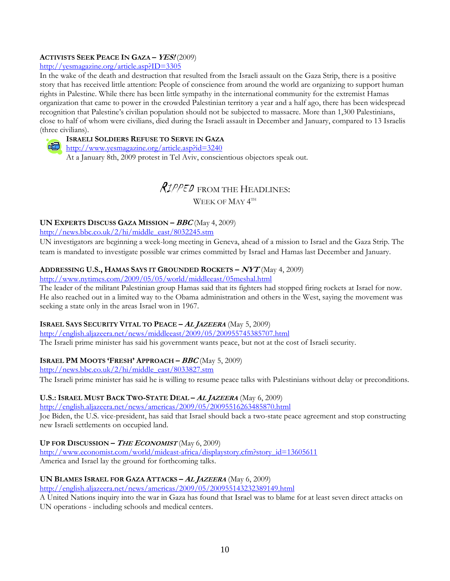# **ACTIVISTS SEEK PEACE IN GAZA – YES!** (2009)

## http://yesmagazine.org/article.asp?ID=3305

In the wake of the death and destruction that resulted from the Israeli assault on the Gaza Strip, there is a positive story that has received little attention: People of conscience from around the world are organizing to support human rights in Palestine. While there has been little sympathy in the international community for the extremist Hamas organization that came to power in the crowded Palestinian territory a year and a half ago, there has been widespread recognition that Palestine's civilian population should not be subjected to massacre. More than 1,300 Palestinians, close to half of whom were civilians, died during the Israeli assault in December and January, compared to 13 Israelis (three civilians).

# **ISRAELI SOLDIERS REFUSE TO SERVE IN GAZA**

http://www.yesmagazine.org/article.asp?id=3240 At a January 8th, 2009 protest in Tel Aviv, conscientious objectors speak out.

# $\mathcal{R}$ *IPPED* FROM THE HEADLINES:

WEEK OF MAY  $4^{TH}$ 

# **UN EXPERTS DISCUSS GAZA MISSION – BBC** (May 4, 2009)

# http://news.bbc.co.uk/2/hi/middle\_east/8032245.stm

UN investigators are beginning a week-long meeting in Geneva, ahead of a mission to Israel and the Gaza Strip. The team is mandated to investigate possible war crimes committed by Israel and Hamas last December and January.

# **ADDRESSING U.S., HAMAS SAYS IT GROUNDED ROCKETS – NYT** (May 4, 2009)

http://www.nytimes.com/2009/05/05/world/middleeast/05meshal.html

The leader of the militant Palestinian group Hamas said that its fighters had stopped firing rockets at Israel for now. He also reached out in a limited way to the Obama administration and others in the West, saying the movement was seeking a state only in the areas Israel won in 1967.

# **ISRAEL SAYS SECURITY VITAL TO PEACE – <sup>A</sup>L JAZEERA** (May 5, 2009)

http://english.aljazeera.net/news/middleeast/2009/05/200955745385707.html

The Israeli prime minister has said his government wants peace, but not at the cost of Israeli security.

# **ISRAEL PM MOOTS 'FRESH' APPROACH – BBC** (May 5, 2009)

http://news.bbc.co.uk/2/hi/middle\_east/8033827.stm The Israeli prime minister has said he is willing to resume peace talks with Palestinians without delay or preconditions.

# **U.S.: ISRAEL MUST BACK TWO-STATE DEAL – <sup>A</sup>L JAZEERA** (May 6, 2009)

http://english.aljazeera.net/news/americas/2009/05/20095516263485870.html

Joe Biden, the U.S. vice-president, has said that Israel should back a two-state peace agreement and stop constructing new Israeli settlements on occupied land.

# **UP FOR DISCUSSION – <sup>T</sup>HE <sup>E</sup>CONOMIST** (May 6, 2009)

http://www.economist.com/world/mideast-africa/displaystory.cfm?story\_id=13605611 America and Israel lay the ground for forthcoming talks.

# **UN BLAMES ISRAEL FOR GAZA ATTACKS – <sup>A</sup>L JAZEERA** (May 6, 2009)

http://english.aljazeera.net/news/americas/2009/05/200955143232389149.html

A United Nations inquiry into the war in Gaza has found that Israel was to blame for at least seven direct attacks on UN operations - including schools and medical centers.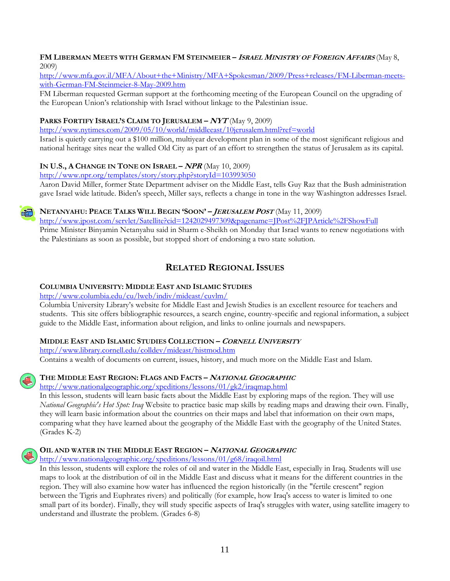# **FM LIBERMAN MEETS WITH GERMAN FM STEINMEIER – <sup>I</sup>SRAEL MINISTRY OF FOREIGN AFFAIRS** (May 8, 2009)

http://www.mfa.gov.il/MFA/About+the+Ministry/MFA+Spokesman/2009/Press+releases/FM-Liberman-meetswith-German-FM-Steinmeier-8-May-2009.htm

FM Liberman requested German support at the forthcoming meeting of the European Council on the upgrading of the European Union's relationship with Israel without linkage to the Palestinian issue.

# **PARKS FORTIFY ISRAEL'S CLAIM TO JERUSALEM – NYT** (May 9, 2009)

http://www.nytimes.com/2009/05/10/world/middleeast/10jerusalem.html?ref=world

Israel is quietly carrying out a \$100 million, multiyear development plan in some of the most significant religious and national heritage sites near the walled Old City as part of an effort to strengthen the status of Jerusalem as its capital.

# **IN U.S., A CHANGE IN TONE ON ISRAEL – NPR** (May 10, 2009)

http://www.npr.org/templates/story/story.php?storyId=103993050

Aaron David Miller, former State Department adviser on the Middle East, tells Guy Raz that the Bush administration gave Israel wide latitude. Biden's speech, Miller says, reflects a change in tone in the way Washington addresses Israel.

# **NETANYAHU: PEACE TALKS WILL BEGIN 'SOON' – JERUSALEM POST** (May 11, 2009)

http://www.jpost.com/servlet/Satellite?cid=1242029497309&pagename=JPost%2FJPArticle%2FShowFull Prime Minister Binyamin Netanyahu said in Sharm e-Sheikh on Monday that Israel wants to renew negotiations with the Palestinians as soon as possible, but stopped short of endorsing a two state solution.

# **RELATED REGIONAL ISSUES**

# **COLUMBIA UNIVERSITY: MIDDLE EAST AND ISLAMIC STUDIES**

# http://www.columbia.edu/cu/lweb/indiv/mideast/cuvlm/

Columbia University Library's website for Middle East and Jewish Studies is an excellent resource for teachers and students. This site offers bibliographic resources, a search engine, country-specific and regional information, a subject guide to the Middle East, information about religion, and links to online journals and newspapers.

# **MIDDLE EAST AND ISLAMIC STUDIES COLLECTION – <sup>C</sup>ORNELL UNIVERSITY**

http://www.library.cornell.edu/colldev/mideast/histmod.htm

Contains a wealth of documents on current, issues, history, and much more on the Middle East and Islam.



# **THE MIDDLE EAST REGION: FLAGS AND FACTS – <sup>N</sup>ATIONAL GEOGRAPHIC**

# http://www.nationalgeographic.org/xpeditions/lessons/01/gk2/iraqmap.html

In this lesson, students will learn basic facts about the Middle East by exploring maps of the region. They will use *National Geographic's Hot Spot: Iraq* Website to practice basic map skills by reading maps and drawing their own. Finally, they will learn basic information about the countries on their maps and label that information on their own maps, comparing what they have learned about the geography of the Middle East with the geography of the United States. (Grades K-2)



# **OIL AND WATER IN THE MIDDLE EAST REGION – <sup>N</sup>ATIONAL GEOGRAPHIC**

http://www.nationalgeographic.org/xpeditions/lessons/01/g68/iraqoil.html

In this lesson, students will explore the roles of oil and water in the Middle East, especially in Iraq. Students will use maps to look at the distribution of oil in the Middle East and discuss what it means for the different countries in the region. They will also examine how water has influenced the region historically (in the "fertile crescent" region between the Tigris and Euphrates rivers) and politically (for example, how Iraq's access to water is limited to one small part of its border). Finally, they will study specific aspects of Iraq's struggles with water, using satellite imagery to understand and illustrate the problem. (Grades 6-8)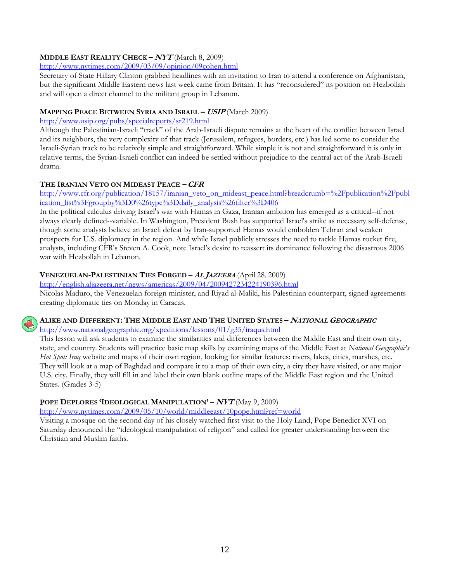# **MIDDLE EAST REALITY CHECK – NYT** (March 8, 2009)

# http://www.nytimes.com/2009/03/09/opinion/09cohen.html

Secretary of State Hillary Clinton grabbed headlines with an invitation to Iran to attend a conference on Afghanistan, but the significant Middle Eastern news last week came from Britain. It has "reconsidered" its position on Hezbollah and will open a direct channel to the militant group in Lebanon.

# **MAPPING PEACE BETWEEN SYRIA AND ISRAEL – USIP** (March 2009)

http://www.usip.org/pubs/specialreports/sr219.html

Although the Palestinian-Israeli "track" of the Arab-Israeli dispute remains at the heart of the conflict between Israel and its neighbors, the very complexity of that track (Jerusalem, refugees, borders, etc.) has led some to consider the Israeli-Syrian track to be relatively simple and straightforward. While simple it is not and straightforward it is only in relative terms, the Syrian-Israeli conflict can indeed be settled without prejudice to the central act of the Arab-Israeli drama.

# **THE IRANIAN VETO ON MIDEAST PEACE – CFR**

http://www.cfr.org/publication/18157/iranian\_veto\_on\_mideast\_peace.html?breadcrumb=%2Fpublication%2Fpubl ication\_list%3Fgroupby%3D0%26type%3Ddaily\_analysis%26filter%3D406

In the political calculus driving Israel's war with Hamas in Gaza, Iranian ambition has emerged as a critical--if not always clearly defined--variable. In Washington, President Bush has supported Israel's strike as necessary self-defense, though some analysts believe an Israeli defeat by Iran-supported Hamas would embolden Tehran and weaken prospects for U.S. diplomacy in the region. And while Israel publicly stresses the need to tackle Hamas rocket fire, analysts, including CFR's Steven A. Cook, note Israel's desire to reassert its dominance following the disastrous 2006 war with Hezbollah in Lebanon.

# **VENEZUELAN-PALESTINIAN TIES FORGED – <sup>A</sup>L JAZEERA** (April 28. 2009)

http://english.aljazeera.net/news/americas/2009/04/2009427234224190396.html

Nicolas Maduro, the Venezuelan foreign minister, and Riyad al-Maliki, his Palestinian counterpart, signed agreements creating diplomatic ties on Monday in Caracas.

# **ALIKE AND DIFFERENT: THE MIDDLE EAST AND THE UNITED STATES – <sup>N</sup>ATIONAL GEOGRAPHIC**

http://www.nationalgeographic.org/xpeditions/lessons/01/g35/iraqus.html

This lesson will ask students to examine the similarities and differences between the Middle East and their own city, state, and country. Students will practice basic map skills by examining maps of the Middle East at *National Geographic's Hot Spot: Iraq* website and maps of their own region, looking for similar features: rivers, lakes, cities, marshes, etc. They will look at a map of Baghdad and compare it to a map of their own city, a city they have visited, or any major U.S. city. Finally, they will fill in and label their own blank outline maps of the Middle East region and the United States. (Grades 3-5)

# **POPE DEPLORES 'IDEOLOGICAL MANIPULATION' – NYT** (May 9, 2009)

http://www.nytimes.com/2009/05/10/world/middleeast/10pope.html?ref=world

Visiting a mosque on the second day of his closely watched first visit to the Holy Land, Pope Benedict XVI on Saturday denounced the "ideological manipulation of religion" and called for greater understanding between the Christian and Muslim faiths.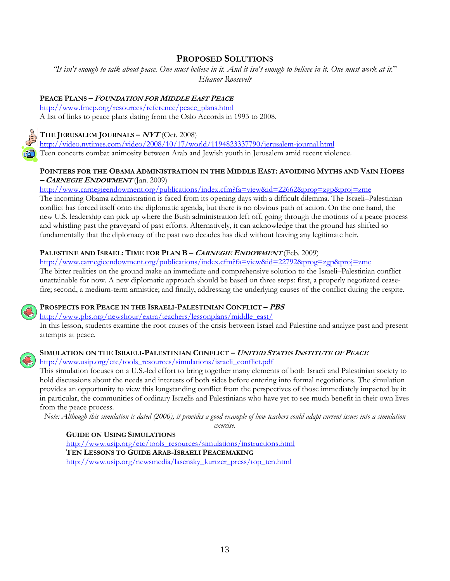# **PROPOSED SOLUTIONS**

*"It isn't enough to talk about peace. One must believe in it. And it isn't enough to believe in it. One must work at it.*" *Eleanor Roosevelt*

# **PEACE PLANS – <sup>F</sup>OUNDATION FOR MIDDLE EAST PEACE**

http://www.fmep.org/resources/reference/peace\_plans.html A list of links to peace plans dating from the Oslo Accords in 1993 to 2008.

# **THE JERUSALEM JOURNALS – NYT** (Oct. 2008)

http://video.nytimes.com/video/2008/10/17/world/1194823337790/jerusalem-journal.html

Teen concerts combat animosity between Arab and Jewish youth in Jerusalem amid recent violence.

# **POINTERS FOR THE OBAMA ADMINISTRATION IN THE MIDDLE EAST: AVOIDING MYTHS AND VAIN HOPES – <sup>C</sup>ARNEGIE ENDOWMENT** (Jan. 2009)

http://www.carnegieendowment.org/publications/index.cfm?fa=view&id=22662&prog=zgp&proj=zme

The incoming Obama administration is faced from its opening days with a difficult dilemma. The Israeli–Palestinian conflict has forced itself onto the diplomatic agenda, but there is no obvious path of action. On the one hand, the new U.S. leadership can pick up where the Bush administration left off, going through the motions of a peace process and whistling past the graveyard of past efforts. Alternatively, it can acknowledge that the ground has shifted so fundamentally that the diplomacy of the past two decades has died without leaving any legitimate heir.

# **PALESTINE AND ISRAEL: TIME FOR PLAN B – <sup>C</sup>ARNEGIE ENDOWMENT** (Feb. 2009)

http://www.carnegieendowment.org/publications/index.cfm?fa=view&id=22792&prog=zgp&proj=zme The bitter realities on the ground make an immediate and comprehensive solution to the Israeli–Palestinian conflict unattainable for now. A new diplomatic approach should be based on three steps: first, a properly negotiated ceasefire; second, a medium-term armistice; and finally, addressing the underlying causes of the conflict during the respite.



# **PROSPECTS FOR PEACE IN THE ISRAELI-PALESTINIAN CONFLICT – PBS**

http://www.pbs.org/newshour/extra/teachers/lessonplans/middle\_east/

In this lesson, students examine the root causes of the crisis between Israel and Palestine and analyze past and present attempts at peace.



#### **SIMULATION ON THE ISRAELI-PALESTINIAN CONFLICT – <sup>U</sup>NITED STATES INSTITUTE OF PEACE** http://www.usip.org/etc/tools\_resources/simulations/israeli\_conflict.pdf

This simulation focuses on a U.S.-led effort to bring together many elements of both Israeli and Palestinian society to hold discussions about the needs and interests of both sides before entering into formal negotiations. The simulation provides an opportunity to view this longstanding conflict from the perspectives of those immediately impacted by it: in particular, the communities of ordinary Israelis and Palestinians who have yet to see much benefit in their own lives from the peace process.

*Note: Although this simulation is dated (2000), it provides a good example of how teachers could adapt current issues into a simulation* 

*exercise*.

# **GUIDE ON USING SIMULATIONS**

http://www.usip.org/etc/tools\_resources/simulations/instructions.html  **TEN LESSONS TO GUIDE ARAB-ISRAELI PEACEMAKING** http://www.usip.org/newsmedia/lasensky\_kurtzer\_press/top\_ten.html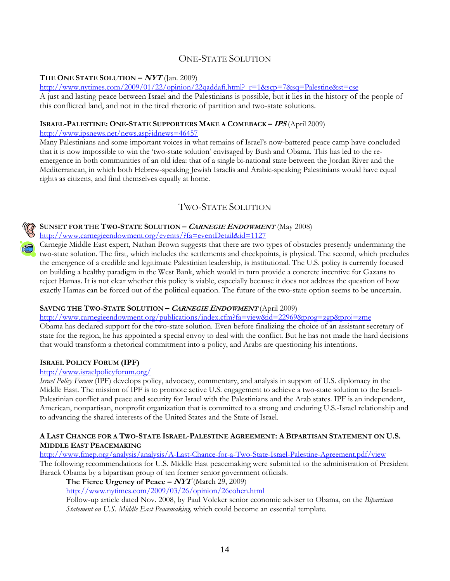# ONE-STATE SOLUTION

# **THE ONE STATE SOLUTION – NYT** (Jan. 2009)

http://www.nytimes.com/2009/01/22/opinion/22qaddafi.html?\_r=1&scp=7&sq=Palestine&st=cse

A just and lasting peace between Israel and the Palestinians is possible, but it lies in the history of the people of this conflicted land, and not in the tired rhetoric of partition and two-state solutions.

# **ISRAEL-PALESTINE: ONE-STATE SUPPORTERS MAKE A COMEBACK – IPS** (April 2009)

http://www.ipsnews.net/news.asp?idnews=46457

Many Palestinians and some important voices in what remains of Israel's now-battered peace camp have concluded that it is now impossible to win the 'two-state solution' envisaged by Bush and Obama. This has led to the reemergence in both communities of an old idea: that of a single bi-national state between the Jordan River and the Mediterranean, in which both Hebrew-speaking Jewish Israelis and Arabic-speaking Palestinians would have equal rights as citizens, and find themselves equally at home.

# TWO-STATE SOLUTION

# **SUNSET FOR THE TWO-STATE SOLUTION – <sup>C</sup>ARNEGIE ENDOWMENT** (May 2008)

http://www.carnegieendowment.org/events/?fa=eventDetail&id=1127

Carnegie Middle East expert, Nathan Brown suggests that there are two types of obstacles presently undermining the two-state solution. The first, which includes the settlements and checkpoints, is physical. The second, which precludes the emergence of a credible and legitimate Palestinian leadership, is institutional. The U.S. policy is currently focused on building a healthy paradigm in the West Bank, which would in turn provide a concrete incentive for Gazans to reject Hamas. It is not clear whether this policy is viable, especially because it does not address the question of how exactly Hamas can be forced out of the political equation. The future of the two-state option seems to be uncertain.

# **SAVING THE TWO-STATE SOLUTION – <sup>C</sup>ARNEGIE <sup>E</sup>NDOWMENT** (April 2009)

http://www.carnegieendowment.org/publications/index.cfm?fa=view&id=22969&prog=zgp&proj=zme Obama has declared support for the two-state solution. Even before finalizing the choice of an assistant secretary of state for the region, he has appointed a special envoy to deal with the conflict. But he has not made the hard decisions that would transform a rhetorical commitment into a policy, and Arabs are questioning his intentions.

# **ISRAEL POLICY FORUM (IPF)**

# http://www.israelpolicyforum.org/

*Israel Policy Forum* (IPF) develops policy, advocacy, commentary, and analysis in support of U.S. diplomacy in the Middle East. The mission of IPF is to promote active U.S. engagement to achieve a two-state solution to the Israeli-Palestinian conflict and peace and security for Israel with the Palestinians and the Arab states. IPF is an independent, American, nonpartisan, nonprofit organization that is committed to a strong and enduring U.S.-Israel relationship and to advancing the shared interests of the United States and the State of Israel.

## **A LAST CHANCE FOR A TWO-STATE ISRAEL-PALESTINE AGREEMENT: A BIPARTISAN STATEMENT ON U.S. MIDDLE EAST PEACEMAKING**

http://www.fmep.org/analysis/analysis/A-Last-Chance-for-a-Two-State-Israel-Palestine-Agreement.pdf/view The following recommendations for U.S. Middle East peacemaking were submitted to the administration of President Barack Obama by a bipartisan group of ten former senior government officials.

**The Fierce Urgency of Peace – NYT** (March 29, 2009)

http://www.nytimes.com/2009/03/26/opinion/26cohen.html

Follow-up article dated Nov. 2008, by Paul Volcker senior economic adviser to Obama, on the *Bipartisan Statement on U.S. Middle East Peacemaking,* which could become an essential template.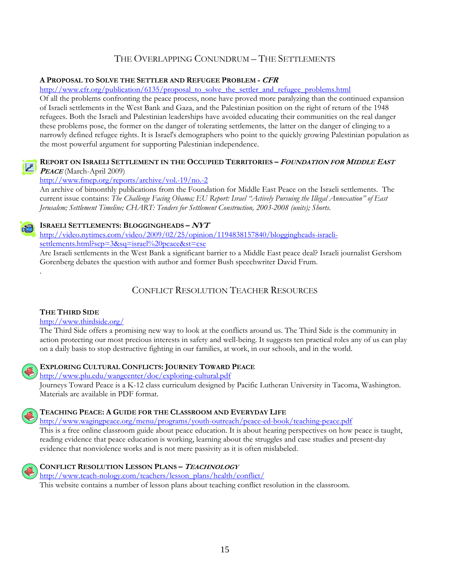# THE OVERLAPPING CONUNDRUM – THE SETTLEMENTS

# **A PROPOSAL TO SOLVE THE SETTLER AND REFUGEE PROBLEM - CFR**

http://www.cfr.org/publication/6135/proposal\_to\_solve\_the\_settler\_and\_refugee\_problems.html

Of all the problems confronting the peace process, none have proved more paralyzing than the continued expansion of Israeli settlements in the West Bank and Gaza, and the Palestinian position on the right of return of the 1948 refugees. Both the Israeli and Palestinian leaderships have avoided educating their communities on the real danger these problems pose, the former on the danger of tolerating settlements, the latter on the danger of clinging to a narrowly defined refugee rights. It is Israel's demographers who point to the quickly growing Palestinian population as the most powerful argument for supporting Palestinian independence.

# **REPORT ON ISRAELI SETTLEMENT IN THE OCCUPIED TERRITORIES – <sup>F</sup>OUNDATION FOR MIDDLE EAST <sup>P</sup>EACE** (March-April 2009)

# http://www.fmep.org/reports/archive/vol.-19/no.-2

An archive of bimonthly publications from the Foundation for Middle East Peace on the Israeli settlements. The current issue contains: *The Challenge Facing Obama; EU Report: Israel "Actively Pursuing the Illegal Annexation" of East Jerusalem; Settlement Timeline; CHART: Tenders for Settlement Construction, 2003-2008 (units); Shorts*.

# **ISRAELI SETTLEMENTS: BLOGGINGHEADS – NYT**

http://video.nytimes.com/video/2009/02/25/opinion/1194838157840/bloggingheads-israelisettlements.html?scp=3&sq=israel%20peace&st=cse

Are Israeli settlements in the West Bank a significant barrier to a Middle East peace deal? Israeli journalist Gershom Gorenberg debates the question with author and former Bush speechwriter David Frum.

# CONFLICT RESOLUTION TEACHER RESOURCES

# **THE THIRD SIDE**

.

# http://www.thirdside.org/

The Third Side offers a promising new way to look at the conflicts around us. The Third Side is the community in action protecting our most precious interests in safety and well-being. It suggests ten practical roles any of us can play on a daily basis to stop destructive fighting in our families, at work, in our schools, and in the world.

# **EXPLORING CULTURAL CONFLICTS: JOURNEY TOWARD PEACE**

http://www.plu.edu/wangcenter/doc/exploring-cultural.pdf Journeys Toward Peace is a K-12 class curriculum designed by Pacific Lutheran University in Tacoma, Washington. Materials are available in PDF format.



# **TEACHING PEACE: A GUIDE FOR THE CLASSROOM AND EVERYDAY LIFE**

http://www.wagingpeace.org/menu/programs/youth-outreach/peace-ed-book/teaching-peace.pdf This is a free online classroom guide about peace education. It is about hearing perspectives on how peace is taught, reading evidence that peace education is working, learning about the struggles and case studies and present-day evidence that nonviolence works and is not mere passivity as it is often mislabeled.



http://www.teach-nology.com/teachers/lesson\_plans/health/conflict/ This website contains a number of lesson plans about teaching conflict resolution in the classroom.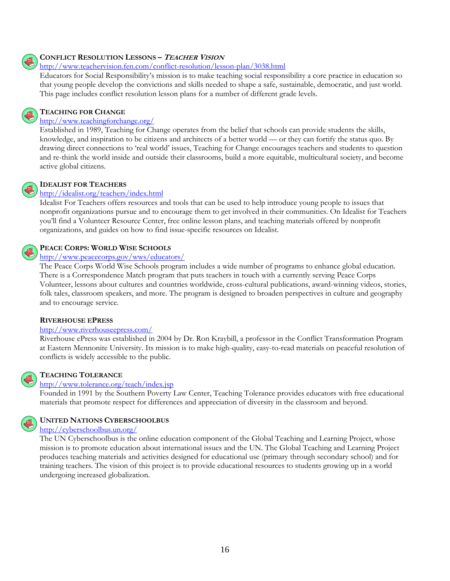

# **CONFLICT RESOLUTION LESSONS – <sup>T</sup>EACHER VISION**

http://www.teachervision.fen.com/conflict-resolution/lesson-plan/3038.html

Educators for Social Responsibility's mission is to make teaching social responsibility a core practice in education so that young people develop the convictions and skills needed to shape a safe, sustainable, democratic, and just world. This page includes conflict resolution lesson plans for a number of different grade levels.



#### **TEACHING FOR CHANGE**

# http://www.teachingforchange.org/

Established in 1989, Teaching for Change operates from the belief that schools can provide students the skills, knowledge, and inspiration to be citizens and architects of a better world — or they can fortify the status quo. By drawing direct connections to 'real world' issues, Teaching for Change encourages teachers and students to question and re-think the world inside and outside their classrooms, build a more equitable, multicultural society, and become active global citizens.

## **IDEALIST FOR TEACHERS**

# http://idealist.org/teachers/index.html

Idealist For Teachers offers resources and tools that can be used to help introduce young people to issues that nonprofit organizations pursue and to encourage them to get involved in their communities. On Idealist for Teachers you'll find a Volunteer Resource Center, free online lesson plans, and teaching materials offered by nonprofit organizations, and guides on how to find issue-specific resources on Idealist.

# **PEACE CORPS: WORLD WISE SCHOOLS**

# http://www.peacecorps.gov/wws/educators/

The Peace Corps World Wise Schools program includes a wide number of programs to enhance global education. There is a Correspondence Match program that puts teachers in touch with a currently serving Peace Corps Volunteer, lessons about cultures and countries worldwide, cross-cultural publications, award-winning videos, stories, folk tales, classroom speakers, and more. The program is designed to broaden perspectives in culture and geography and to encourage service.

#### **RIVERHOUSE EPRESS**

#### http://www.riverhouseepress.com/

Riverhouse ePress was established in 2004 by Dr. Ron Kraybill, a professor in the Conflict Transformation Program at Eastern Mennonite University. Its mission is to make high-quality, easy-to-read materials on peaceful resolution of conflicts is widely accessible to the public.

#### **TEACHING TOLERANCE** http://www.tolerance.org/teach/index.jsp

Founded in 1991 by the Southern Poverty Law Center, Teaching Tolerance provides educators with free educational materials that promote respect for differences and appreciation of diversity in the classroom and beyond.



#### **UNITED NATIONS CYBERSCHOOLBUS**

# http://cyberschoolbus.un.org/

The UN Cyberschoolbus is the online education component of the Global Teaching and Learning Project, whose mission is to promote education about international issues and the UN. The Global Teaching and Learning Project produces teaching materials and activities designed for educational use (primary through secondary school) and for training teachers. The vision of this project is to provide educational resources to students growing up in a world undergoing increased globalization.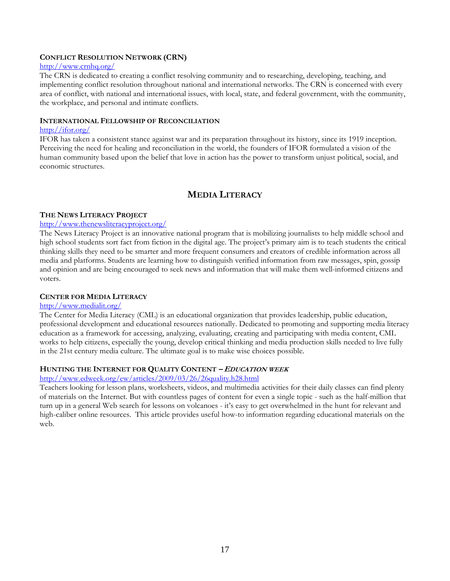# **CONFLICT RESOLUTION NETWORK (CRN)**

#### http://www.crnhq.org/

The CRN is dedicated to creating a conflict resolving community and to researching, developing, teaching, and implementing conflict resolution throughout national and international networks. The CRN is concerned with every area of conflict, with national and international issues, with local, state, and federal government, with the community, the workplace, and personal and intimate conflicts.

# **INTERNATIONAL FELLOWSHIP OF RECONCILIATION**

#### http://ifor.org/

IFOR has taken a consistent stance against war and its preparation throughout its history, since its 1919 inception. Perceiving the need for healing and reconciliation in the world, the founders of IFOR formulated a vision of the human community based upon the belief that love in action has the power to transform unjust political, social, and economic structures.

# **MEDIA LITERACY**

## **THE NEWS LITERACY PROJECT**

# http://www.thenewsliteracyproject.org/

The News Literacy Project is an innovative national program that is mobilizing journalists to help middle school and high school students sort fact from fiction in the digital age. The project's primary aim is to teach students the critical thinking skills they need to be smarter and more frequent consumers and creators of credible information across all media and platforms. Students are learning how to distinguish verified information from raw messages, spin, gossip and opinion and are being encouraged to seek news and information that will make them well-informed citizens and voters.

#### **CENTER FOR MEDIA LITERACY**

#### http://www.medialit.org/

The Center for Media Literacy (CML) is an educational organization that provides leadership, public education, professional development and educational resources nationally. Dedicated to promoting and supporting media literacy education as a framework for accessing, analyzing, evaluating, creating and participating with media content, CML works to help citizens, especially the young, develop critical thinking and media production skills needed to live fully in the 21st century media culture. The ultimate goal is to make wise choices possible.

#### **HUNTING THE INTERNET FOR QUALITY CONTENT – <sup>E</sup>DUCATION WEEK**

#### http://www.edweek.org/ew/articles/2009/03/26/26quality.h28.html

Teachers looking for lesson plans, worksheets, videos, and multimedia activities for their daily classes can find plenty of materials on the Internet. But with countless pages of content for even a single topic - such as the half-million that turn up in a general Web search for lessons on volcanoes - it's easy to get overwhelmed in the hunt for relevant and high-caliber online resources. This article provides useful how-to information regarding educational materials on the web.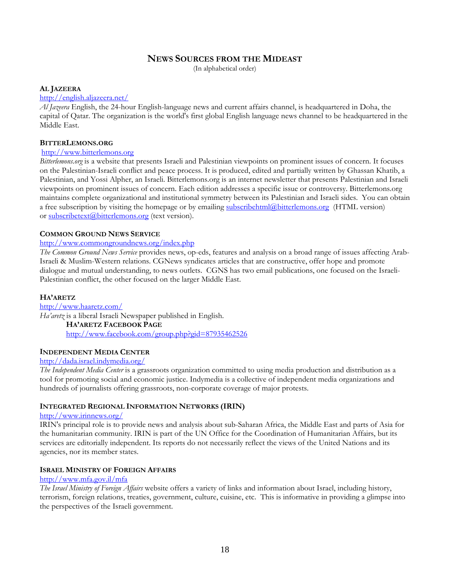# **NEWS SOURCES FROM THE MIDEAST**

(In alphabetical order)

#### **AL JAZEERA**

# http://english.aljazeera.net/

*Al Jazeera* English, the 24-hour English-language news and current affairs channel, is headquartered in Doha, the capital of Qatar. The organization is the world's first global English language news channel to be headquartered in the Middle East.

# **BITTERLEMONS.ORG**

## http://www.bitterlemons.org

*Bitterlemons.org* is a website that presents Israeli and Palestinian viewpoints on prominent issues of concern. It focuses on the Palestinian-Israeli conflict and peace process. It is produced, edited and partially written by Ghassan Khatib, a Palestinian, and Yossi Alpher, an Israeli. Bitterlemons.org is an internet newsletter that presents Palestinian and Israeli viewpoints on prominent issues of concern. Each edition addresses a specific issue or controversy. Bitterlemons.org maintains complete organizational and institutional symmetry between its Palestinian and Israeli sides. You can obtain a free subscription by visiting the homepage or by emailing subscribehtml@bitterlemons.org (HTML version) or subscribetext@bitterlemons.org (text version).

# **COMMON GROUND NEWS SERVICE**

## http://www.commongroundnews.org/index.php

*The Common Ground News Service* provides news, op-eds, features and analysis on a broad range of issues affecting Arab-Israeli & Muslim-Western relations. CGNews syndicates articles that are constructive, offer hope and promote dialogue and mutual understanding, to news outlets. CGNS has two email publications, one focused on the Israeli-Palestinian conflict, the other focused on the larger Middle East.

# **HA'ARETZ**

http://www.haaretz.com/ *Ha'aretz* is a liberal Israeli Newspaper published in English.  **HA'ARETZ FACEBOOK PAGE** http://www.facebook.com/group.php?gid=87935462526

# **INDEPENDENT MEDIA CENTER**

# http://dada.israel.indymedia.org/

*The Independent Media Center* is a grassroots organization committed to using media production and distribution as a tool for promoting social and economic justice. Indymedia is a collective of independent media organizations and hundreds of journalists offering grassroots, non-corporate coverage of major protests.

#### **INTEGRATED REGIONAL INFORMATION NETWORKS (IRIN)**

# http://www.irinnews.org/

IRIN's principal role is to provide news and analysis about sub-Saharan Africa, the Middle East and parts of Asia for the humanitarian community. IRIN is part of the UN Office for the Coordination of Humanitarian Affairs, but its services are editorially independent. Its reports do not necessarily reflect the views of the United Nations and its agencies, nor its member states.

# **ISRAEL MINISTRY OF FOREIGN AFFAIRS**

#### http://www.mfa.gov.il/mfa

*The Israel Ministry of Foreign Affairs* website offers a variety of links and information about Israel, including history, terrorism, foreign relations, treaties, government, culture, cuisine, etc. This is informative in providing a glimpse into the perspectives of the Israeli government.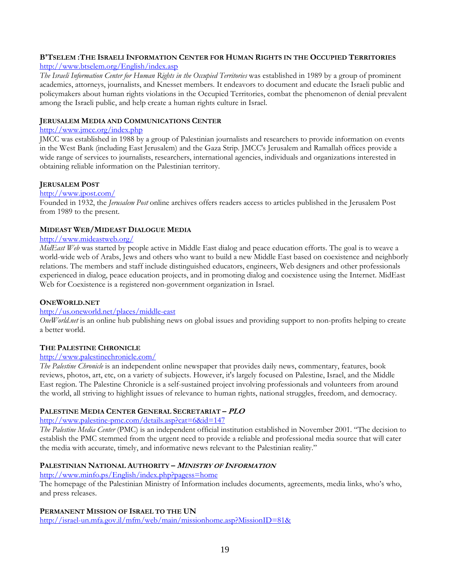# **B'TSELEM :THE ISRAELI INFORMATION CENTER FOR HUMAN RIGHTS IN THE OCCUPIED TERRITORIES**

# http://www.btselem.org/English/index.asp

*The Israeli Information Center for Human Rights in the Occupied Territories* was established in 1989 by a group of prominent academics, attorneys, journalists, and Knesset members. It endeavors to document and educate the Israeli public and policymakers about human rights violations in the Occupied Territories, combat the phenomenon of denial prevalent among the Israeli public, and help create a human rights culture in Israel.

# **JERUSALEM MEDIA AND COMMUNICATIONS CENTER**

# http://www.jmcc.org/index.php

JMCC was established in 1988 by a group of Palestinian journalists and researchers to provide information on events in the West Bank (including East Jerusalem) and the Gaza Strip. JMCC's Jerusalem and Ramallah offices provide a wide range of services to journalists, researchers, international agencies, individuals and organizations interested in obtaining reliable information on the Palestinian territory.

## **JERUSALEM POST**

# http://www.jpost.com/

Founded in 1932, the *Jerusalem Post* online archives offers readers access to articles published in the Jerusalem Post from 1989 to the present.

# **MIDEAST WEB/MIDEAST DIALOGUE MEDIA**

# http://www.mideastweb.org/

*MidEast Web* was started by people active in Middle East dialog and peace education efforts. The goal is to weave a world-wide web of Arabs, Jews and others who want to build a new Middle East based on coexistence and neighborly relations. The members and staff include distinguished educators, engineers, Web designers and other professionals experienced in dialog, peace education projects, and in promoting dialog and coexistence using the Internet. MidEast Web for Coexistence is a registered non-government organization in Israel.

# **ONEWORLD.NET**

# http://us.oneworld.net/places/middle-east

*OneWorld.net* is an online hub publishing news on global issues and providing support to non-profits helping to create a better world.

# **THE PALESTINE CHRONICLE**

#### http://www.palestinechronicle.com/

*The Palestine Chronicle* is an independent online newspaper that provides daily news, commentary, features, book reviews, photos, art, etc, on a variety of subjects. However, it's largely focused on Palestine, Israel, and the Middle East region. The Palestine Chronicle is a self-sustained project involving professionals and volunteers from around the world, all striving to highlight issues of relevance to human rights, national struggles, freedom, and democracy.

# **PALESTINE MEDIA CENTER GENERAL SECRETARIAT – PLO**

### http://www.palestine-pmc.com/details.asp?cat=6&id=147

*The Palestine Media Center* (PMC) is an independent official institution established in November 2001. "The decision to establish the PMC stemmed from the urgent need to provide a reliable and professional media source that will cater the media with accurate, timely, and informative news relevant to the Palestinian reality."

# **PALESTINIAN NATIONAL AUTHORITY – <sup>M</sup>INISTRY OF INFORMATION**

#### http://www.minfo.ps/English/index.php?pagess=home

The homepage of the Palestinian Ministry of Information includes documents, agreements, media links, who's who, and press releases.

# **PERMANENT MISSION OF ISRAEL TO THE UN**

http://israel-un.mfa.gov.il/mfm/web/main/missionhome.asp?MissionID=81&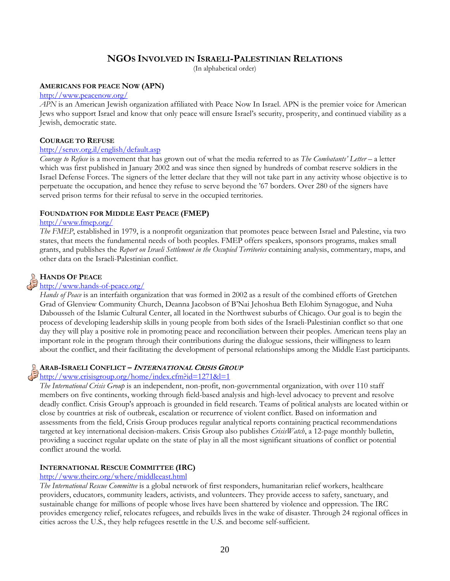# **NGOS INVOLVED IN ISRAELI-PALESTINIAN RELATIONS**

(In alphabetical order)

#### **AMERICANS FOR PEACE NOW (APN)**

#### http://www.peacenow.org/

*APN* is an American Jewish organization affiliated with Peace Now In Israel. APN is the premier voice for American Jews who support Israel and know that only peace will ensure Israel's security, prosperity, and continued viability as a Jewish, democratic state.

#### **COURAGE TO REFUSE**

#### http://seruv.org.il/english/default.asp

*Courage to Refuse* is a movement that has grown out of what the media referred to as *The Combatants' Letter* – a letter which was first published in January 2002 and was since then signed by hundreds of combat reserve soldiers in the Israel Defense Forces. The signers of the letter declare that they will not take part in any activity whose objective is to perpetuate the occupation, and hence they refuse to serve beyond the '67 borders. Over 280 of the signers have served prison terms for their refusal to serve in the occupied territories.

#### **FOUNDATION FOR MIDDLE EAST PEACE (FMEP)**

## http://www.fmep.org/

*The FMEP*, established in 1979, is a nonprofit organization that promotes peace between Israel and Palestine, via two states, that meets the fundamental needs of both peoples. FMEP offers speakers, sponsors programs, makes small grants, and publishes the *Report on Israeli Settlement in the Occupied Territories* containing analysis, commentary, maps, and other data on the Israeli-Palestinian conflict.

# **HANDS OF PEACE**

# http://www.hands-of-peace.org/

*Hands of Peace* is an interfaith organization that was formed in 2002 as a result of the combined efforts of Gretchen Grad of Glenview Community Church, Deanna Jacobson of B'Nai Jehoshua Beth Elohim Synagogue, and Nuha Dabousseh of the Islamic Cultural Center, all located in the Northwest suburbs of Chicago. Our goal is to begin the process of developing leadership skills in young people from both sides of the Israeli-Palestinian conflict so that one day they will play a positive role in promoting peace and reconciliation between their peoples. American teens play an important role in the program through their contributions during the dialogue sessions, their willingness to learn about the conflict, and their facilitating the development of personal relationships among the Middle East participants.

## **ARAB-ISRAELI CONFLICT – <sup>I</sup>NTERNATIONAL CRISIS GROUP**

# http://www.crisisgroup.org/home/index.cfm?id=1271&l=1

*The International Crisis Group* is an independent, non-profit, non-governmental organization, with over 110 staff members on five continents, working through field-based analysis and high-level advocacy to prevent and resolve deadly conflict. Crisis Group's approach is grounded in field research. Teams of political analysts are located within or close by countries at risk of outbreak, escalation or recurrence of violent conflict. Based on information and assessments from the field, Crisis Group produces regular analytical reports containing practical recommendations targeted at key international decision-makers. Crisis Group also publishes *CrisisWatch*, a 12-page monthly bulletin, providing a succinct regular update on the state of play in all the most significant situations of conflict or potential conflict around the world.

# **INTERNATIONAL RESCUE COMMITTEE (IRC)**

#### http://www.theirc.org/where/middleeast.html

*The International Rescue Committee* is a global network of first responders, humanitarian relief workers, healthcare providers, educators, community leaders, activists, and volunteers. They provide access to safety, sanctuary, and sustainable change for millions of people whose lives have been shattered by violence and oppression. The IRC provides emergency relief, relocates refugees, and rebuilds lives in the wake of disaster. Through 24 regional offices in cities across the U.S., they help refugees resettle in the U.S. and become self-sufficient.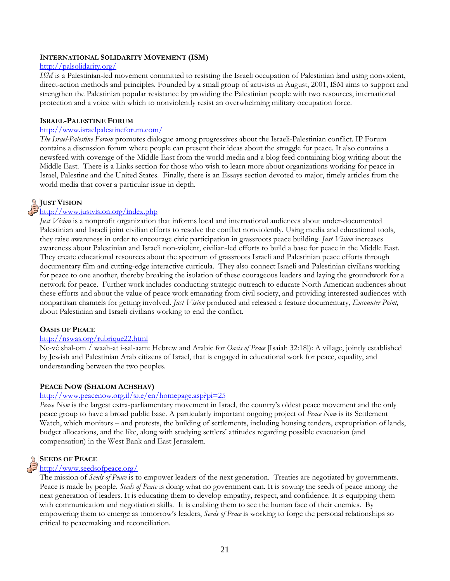#### **INTERNATIONAL SOLIDARITY MOVEMENT (ISM)**

#### http://palsolidarity.org/

*ISM* is a Palestinian-led movement committed to resisting the Israeli occupation of Palestinian land using nonviolent, direct-action methods and principles. Founded by a small group of activists in August, 2001, ISM aims to support and strengthen the Palestinian popular resistance by providing the Palestinian people with two resources, international protection and a voice with which to nonviolently resist an overwhelming military occupation force.

#### **ISRAEL-PALESTINE FORUM**

#### http://www.israelpalestineforum.com/

*The Israel-Palestine Forum* promotes dialogue among progressives about the Israeli-Palestinian conflict. IP Forum contains a discussion forum where people can present their ideas about the struggle for peace. It also contains a newsfeed with coverage of the Middle East from the world media and a blog feed containing blog writing about the Middle East. There is a Links section for those who wish to learn more about organizations working for peace in Israel, Palestine and the United States. Finally, there is an Essays section devoted to major, timely articles from the world media that cover a particular issue in depth.

# **JUST VISION**

## http://www.justvision.org/index.php

*Just Vision* is a nonprofit organization that informs local and international audiences about under-documented Palestinian and Israeli joint civilian efforts to resolve the conflict nonviolently. Using media and educational tools, they raise awareness in order to encourage civic participation in grassroots peace building. *Just Vision* increases awareness about Palestinian and Israeli non-violent, civilian-led efforts to build a base for peace in the Middle East. They create educational resources about the spectrum of grassroots Israeli and Palestinian peace efforts through documentary film and cutting-edge interactive curricula. They also connect Israeli and Palestinian civilians working for peace to one another, thereby breaking the isolation of these courageous leaders and laying the groundwork for a network for peace. Further work includes conducting strategic outreach to educate North American audiences about these efforts and about the value of peace work emanating from civil society, and providing interested audiences with nonpartisan channels for getting involved. *Just Vision* produced and released a feature documentary, *Encounter Point,* about Palestinian and Israeli civilians working to end the conflict.

#### **OASIS OF PEACE**

# http://nswas.org/rubrique22.html

Ne-vé shal-om / waah-at i-sal-aam: Hebrew and Arabic for *Oasis of Peace* [Isaiah 32:18]): A village, jointly established by Jewish and Palestinian Arab citizens of Israel, that is engaged in educational work for peace, equality, and understanding between the two peoples.

#### **PEACE NOW (SHALOM ACHSHAV)**

# http://www.peacenow.org.il/site/en/homepage.asp?pi=25

*Peace Now* is the largest extra-parliamentary movement in Israel, the country's oldest peace movement and the only peace group to have a broad public base. A particularly important ongoing project of *Peace Now* is its Settlement Watch, which monitors – and protests, the building of settlements, including housing tenders, expropriation of lands, budget allocations, and the like, along with studying settlers' attitudes regarding possible evacuation (and compensation) in the West Bank and East Jerusalem.

# **SEEDS OF PEACE**

# http://www.seedsofpeace.org/

The mission of *Seeds of Peace* is to empower leaders of the next generation. Treaties are negotiated by governments. Peace is made by people. *Seeds of Peace* is doing what no government can. It is sowing the seeds of peace among the next generation of leaders. It is educating them to develop empathy, respect, and confidence. It is equipping them with communication and negotiation skills. It is enabling them to see the human face of their enemies. By empowering them to emerge as tomorrow's leaders, *Seeds of Peace* is working to forge the personal relationships so critical to peacemaking and reconciliation.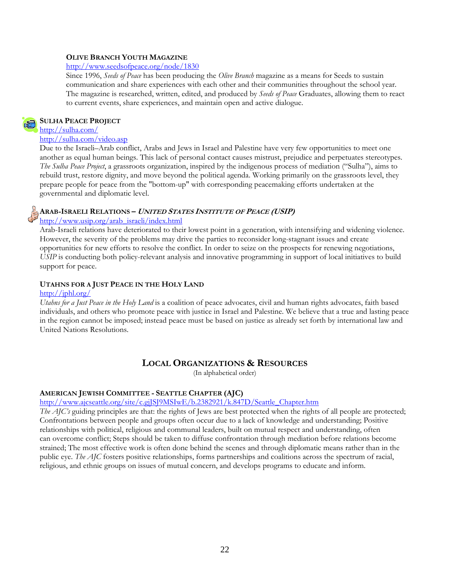# **OLIVE BRANCH YOUTH MAGAZINE**

#### http://www.seedsofpeace.org/node/1830

Since 1996, *Seeds of Peace* has been producing the *Olive Branch* magazine as a means for Seeds to sustain communication and share experiences with each other and their communities throughout the school year. The magazine is researched, written, edited, and produced by *Seeds of Peace* Graduates, allowing them to react to current events, share experiences, and maintain open and active dialogue.



# **SULHA PEACE PROJECT**

#### http://sulha.com/ http://sulha.com/video.asp

Due to the Israeli–Arab conflict, Arabs and Jews in Israel and Palestine have very few opportunities to meet one another as equal human beings. This lack of personal contact causes mistrust, prejudice and perpetuates stereotypes. *The Sulha Peace Project*, a grassroots organization, inspired by the indigenous process of mediation ("Sulha"), aims to rebuild trust, restore dignity, and move beyond the political agenda. Working primarily on the grassroots level, they prepare people for peace from the "bottom-up" with corresponding peacemaking efforts undertaken at the governmental and diplomatic level.

# **ARAB-ISRAELI RELATIONS – <sup>U</sup>NITED STATES INSTITUTE OF PEACE (USIP)**

# http://www.usip.org/arab\_israeli/index.html

Arab-Israeli relations have deteriorated to their lowest point in a generation, with intensifying and widening violence. However, the severity of the problems may drive the parties to reconsider long-stagnant issues and create opportunities for new efforts to resolve the conflict. In order to seize on the prospects for renewing negotiations, *USIP* is conducting both policy-relevant analysis and innovative programming in support of local initiatives to build support for peace.

# **UTAHNS FOR A JUST PEACE IN THE HOLY LAND**

# http://jphl.org/

*Utahns for a Just Peace in the Holy Land* is a coalition of peace advocates, civil and human rights advocates, faith based individuals, and others who promote peace with justice in Israel and Palestine. We believe that a true and lasting peace in the region cannot be imposed; instead peace must be based on justice as already set forth by international law and United Nations Resolutions.

# **LOCAL ORGANIZATIONS & RESOURCES**

(In alphabetical order)

# **AMERICAN JEWISH COMMITTEE - SEATTLE CHAPTER (AJC)**

# http://www.ajcseattle.org/site/c.gjJSJ9MSIwE/b.2382921/k.847D/Seattle\_Chapter.htm

*The AJC's* guiding principles are that: the rights of Jews are best protected when the rights of all people are protected; Confrontations between people and groups often occur due to a lack of knowledge and understanding; Positive relationships with political, religious and communal leaders, built on mutual respect and understanding, often can overcome conflict; Steps should be taken to diffuse confrontation through mediation before relations become strained; The most effective work is often done behind the scenes and through diplomatic means rather than in the public eye. *The AJC* fosters positive relationships, forms partnerships and coalitions across the spectrum of racial, religious, and ethnic groups on issues of mutual concern, and develops programs to educate and inform.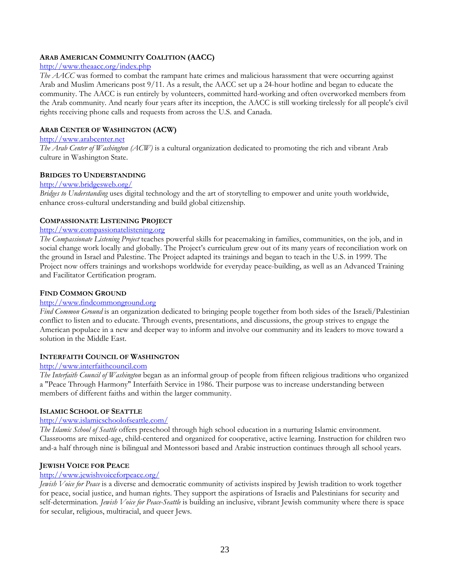# **ARAB AMERICAN COMMUNITY COALITION (AACC)**

#### http://www.theaacc.org/index.php

*The AACC* was formed to combat the rampant hate crimes and malicious harassment that were occurring against Arab and Muslim Americans post 9/11. As a result, the AACC set up a 24-hour hotline and began to educate the community. The AACC is run entirely by volunteers, committed hard-working and often overworked members from the Arab community. And nearly four years after its inception, the AACC is still working tirelessly for all people's civil rights receiving phone calls and requests from across the U.S. and Canada.

## **ARAB CENTER OF WASHINGTON (ACW)**

#### http://www.arabcenter.net

*The Arab Center of Washington (ACW)* is a cultural organization dedicated to promoting the rich and vibrant Arab culture in Washington State.

#### **BRIDGES TO UNDERSTANDING**

#### http://www.bridgesweb.org/

*Bridges to Understanding* uses digital technology and the art of storytelling to empower and unite youth worldwide, enhance cross-cultural understanding and build global citizenship.

#### **COMPASSIONATE LISTENING PROJECT**

# http://www.compassionatelistening.org

*The Compassionate Listening Project* teaches powerful skills for peacemaking in families, communities, on the job, and in social change work locally and globally. The Project's curriculum grew out of its many years of reconciliation work on the ground in Israel and Palestine. The Project adapted its trainings and began to teach in the U.S. in 1999. The Project now offers trainings and workshops worldwide for everyday peace-building, as well as an Advanced Training and Facilitator Certification program.

#### **FIND COMMON GROUND**

#### http://www.findcommonground.org

*Find Common Ground* is an organization dedicated to bringing people together from both sides of the Israeli/Palestinian conflict to listen and to educate. Through events, presentations, and discussions, the group strives to engage the American populace in a new and deeper way to inform and involve our community and its leaders to move toward a solution in the Middle East.

#### **INTERFAITH COUNCIL OF WASHINGTON**

#### http://www.interfaithcouncil.com

*The Interfaith Council of Washington* began as an informal group of people from fifteen religious traditions who organized a "Peace Through Harmony" Interfaith Service in 1986. Their purpose was to increase understanding between members of different faiths and within the larger community.

#### **ISLAMIC SCHOOL OF SEATTLE**

# http://www.islamicschoolofseattle.com/

*The Islamic School of Seattle* offers preschool through high school education in a nurturing Islamic environment. Classrooms are mixed-age, child-centered and organized for cooperative, active learning. Instruction for children two and-a half through nine is bilingual and Montessori based and Arabic instruction continues through all school years.

#### **JEWISH VOICE FOR PEACE**

#### http://www.jewishvoiceforpeace.org/

*Jewish Voice for Peace* is a diverse and democratic community of activists inspired by Jewish tradition to work together for peace, social justice, and human rights. They support the aspirations of Israelis and Palestinians for security and self-determination*. Jewish Voice for Peace-Seattle* is building an inclusive, vibrant Jewish community where there is space for secular, religious, multiracial, and queer Jews.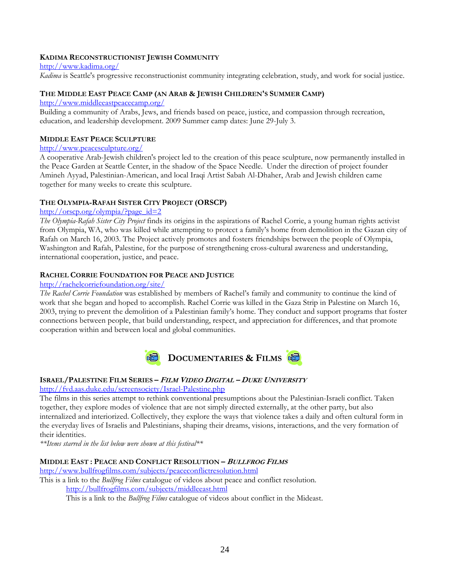# **KADIMA RECONSTRUCTIONIST JEWISH COMMUNITY**

http://www.kadima.org/ *Kadima* is Seattle's progressive reconstructionist community integrating celebration, study, and work for social justice.

# **THE MIDDLE EAST PEACE CAMP (AN ARAB & JEWISH CHILDREN'S SUMMER CAMP)**

http://www.middleeastpeacecamp.org/

Building a community of Arabs, Jews, and friends based on peace, justice, and compassion through recreation, education, and leadership development. 2009 Summer camp dates: June 29-July 3.

## **MIDDLE EAST PEACE SCULPTURE**

#### http://www.peacesculpture.org/

A cooperative Arab-Jewish children's project led to the creation of this peace sculpture, now permanently installed in the Peace Garden at Seattle Center, in the shadow of the Space Needle. Under the direction of project founder Amineh Ayyad, Palestinian-American, and local Iraqi Artist Sabah Al-Dhaher, Arab and Jewish children came together for many weeks to create this sculpture.

# **THE OLYMPIA-RAFAH SISTER CITY PROJECT (ORSCP)**

## http://orscp.org/olympia/?page\_id=2

*The Olympia-Rafah Sister City Project* finds its origins in the aspirations of Rachel Corrie, a young human rights activist from Olympia, WA, who was killed while attempting to protect a family's home from demolition in the Gazan city of Rafah on March 16, 2003. The Project actively promotes and fosters friendships between the people of Olympia, Washington and Rafah, Palestine, for the purpose of strengthening cross-cultural awareness and understanding, international cooperation, justice, and peace.

## **RACHEL CORRIE FOUNDATION FOR PEACE AND JUSTICE**

# http://rachelcorriefoundation.org/site/

*The Rachel Corrie Foundation* was established by members of Rachel's family and community to continue the kind of work that she began and hoped to accomplish. Rachel Corrie was killed in the Gaza Strip in Palestine on March 16, 2003, trying to prevent the demolition of a Palestinian family's home. They conduct and support programs that foster connections between people, that build understanding, respect, and appreciation for differences, and that promote cooperation within and between local and global communities.



# **ISRAEL/PALESTINE FILM SERIES – <sup>F</sup>ILM VIDEO DIGITAL – <sup>D</sup>UKE UNIVERSITY**

#### http://fvd.aas.duke.edu/screensociety/Israel-Palestine.php

The films in this series attempt to rethink conventional presumptions about the Palestinian-Israeli conflict. Taken together, they explore modes of violence that are not simply directed externally, at the other party, but also internalized and interiorized. Collectively, they explore the ways that violence takes a daily and often cultural form in the everyday lives of Israelis and Palestinians, shaping their dreams, visions, interactions, and the very formation of their identities.

*\*\*Items starred in the list below were shown at this festival\*\**

# **MIDDLE EAST : PEACE AND CONFLICT RESOLUTION – <sup>B</sup>ULLFROG FILMS**

http://www.bullfrogfilms.com/subjects/peaceconflictresolution.html

This is a link to the *Bullfrog Films* catalogue of videos about peace and conflict resolution. http://bullfrogfilms.com/subjects/middleeast.html

This is a link to the *Bullfrog Films* catalogue of videos about conflict in the Mideast.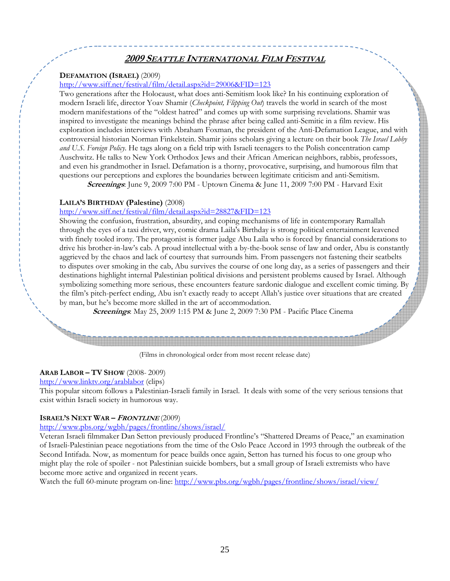# **2009 SEATTLE INTERNATIONAL FILM FESTIVAL**

# **DEFAMATION (ISRAEL)** (2009)

# http://www.siff.net/festival/film/detail.aspx?id=29006&FID=123

Two generations after the Holocaust, what does anti-Semitism look like? In his continuing exploration of modern Israeli life, director Yoav Shamir (*Checkpoint, Flipping Out*) travels the world in search of the most modern manifestations of the "oldest hatred" and comes up with some surprising revelations. Shamir was inspired to investigate the meanings behind the phrase after being called anti-Semitic in a film review. His exploration includes interviews with Abraham Foxman, the president of the Anti-Defamation League, and with controversial historian Norman Finkelstein. Shamir joins scholars giving a lecture on their book *The Israel Lobby and U.S. Foreign Policy*. He tags along on a field trip with Israeli teenagers to the Polish concentration camp Auschwitz. He talks to New York Orthodox Jews and their African American neighbors, rabbis, professors, and even his grandmother in Israel. Defamation is a thorny, provocative, surprising, and humorous film that questions our perceptions and explores the boundaries between legitimate criticism and anti-Semitism.

**Screenings**: June 9, 2009 7:00 PM - Uptown Cinema & June 11, 2009 7:00 PM - Harvard Exit

# **LAILA'S BIRTHDAY (Palestine)** (2008)

# http://www.siff.net/festival/film/detail.aspx?id=28827&FID=123

Showing the confusion, frustration, absurdity, and coping mechanisms of life in contemporary Ramallah through the eyes of a taxi driver, wry, comic drama Laila's Birthday is strong political entertainment leavened with finely tooled irony. The protagonist is former judge Abu Laila who is forced by financial considerations to drive his brother-in-law's cab. A proud intellectual with a by-the-book sense of law and order, Abu is constantly aggrieved by the chaos and lack of courtesy that surrounds him. From passengers not fastening their seatbelts to disputes over smoking in the cab, Abu survives the course of one long day, as a series of passengers and their destinations highlight internal Palestinian political divisions and persistent problems caused by Israel. Although symbolizing something more serious, these encounters feature sardonic dialogue and excellent comic timing. By the film's pitch-perfect ending, Abu isn't exactly ready to accept Allah's justice over situations that are created by man, but he's become more skilled in the art of accommodation.

**Screenings**: May 25, 2009 1:15 PM & June 2, 2009 7:30 PM - Pacific Place Cinema

(Films in chronological order from most recent release date)

# **ARAB LABOR – TV SHOW** (2008- 2009)

#### http://www.linktv.org/arablabor (clips)

This popular sitcom follows a Palestinian-Israeli family in Israel. It deals with some of the very serious tensions that exist within Israeli society in humorous way.

# **ISRAEL'S NEXT WAR – <sup>F</sup>RONTLINE** (2009)

#### http://www.pbs.org/wgbh/pages/frontline/shows/israel/

Veteran Israeli filmmaker Dan Setton previously produced Frontline's "Shattered Dreams of Peace," an examination of Israeli-Palestinian peace negotiations from the time of the Oslo Peace Accord in 1993 through the outbreak of the Second Intifada. Now, as momentum for peace builds once again, Setton has turned his focus to one group who might play the role of spoiler - not Palestinian suicide bombers, but a small group of Israeli extremists who have become more active and organized in recent years.

Watch the full 60-minute program on-line: http://www.pbs.org/wgbh/pages/frontline/shows/israel/view/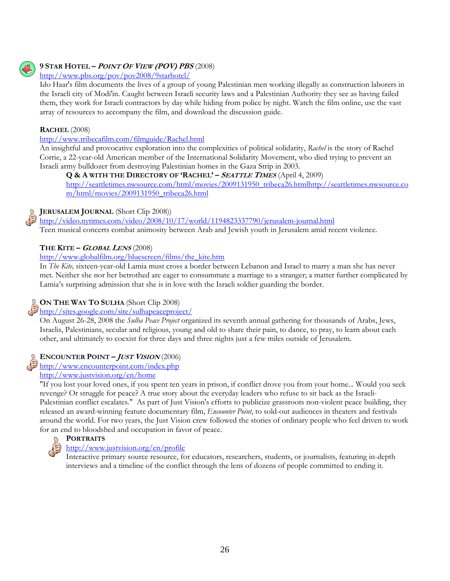

# **9 STAR HOTEL – <sup>P</sup>OINT OF VIEW (POV) PBS** (2008)

# http://www.pbs.org/pov/pov2008/9starhotel/

Ido Haar's film documents the lives of a group of young Palestinian men working illegally as construction laborers in the Israeli city of Modi'in. Caught between Israeli security laws and a Palestinian Authority they see as having failed them, they work for Israeli contractors by day while hiding from police by night. Watch the film online, use the vast array of resources to accompany the film, and download the discussion guide.

# **RACHEL** (2008)

# http://www.tribecafilm.com/filmguide/Rachel.html

An insightful and provocative exploration into the complexities of political solidarity, *Rachel* is the story of Rachel Corrie, a 22-year-old American member of the International Solidarity Movement, who died trying to prevent an Israeli army bulldozer from destroying Palestinian homes in the Gaza Strip in 2003.

# **Q & A WITH THE DIRECTORY OF 'RACHEL' – <sup>S</sup>EATTLE TIMES** (April 4, 2009)

http://seattletimes.nwsource.com/html/movies/2009131950\_tribeca26.htmlhttp://seattletimes.nwsource.co m/html/movies/2009131950\_tribeca26.html

# **JERUSALEM JOURNAL** (Short Clip 2008))

http://video.nytimes.com/video/2008/10/17/world/1194823337790/jerusalem-journal.html Teen musical concerts combat animosity between Arab and Jewish youth in Jerusalem amid recent violence.

# **THE KITE – <sup>G</sup>LOBAL LENS** (2008)

# http://www.globalfilm.org/bluescreen/films/the\_kite.htm

In *The Kite,* sixteen-year-old Lamia must cross a border between Lebanon and Israel to marry a man she has never met. Neither she nor her betrothed are eager to consummate a marriage to a stranger; a matter further complicated by Lamia's surprising admission that she is in love with the Israeli soldier guarding the border.

# **ON THE WAY TO SULHA** (Short Clip 2008)

# http://sites.google.com/site/sulhapeaceproject/

On August 26-28, 2008 the *Sulha Peace Project* organized its seventh annual gathering for thousands of Arabs, Jews, Israelis, Palestinians, secular and religious, young and old to share their pain, to dance, to pray, to learn about each other, and ultimately to coexist for three days and three nights just a few miles outside of Jerusalem.

# **ENCOUNTER POINT – JUST VISION** (2006)

# http://www.encounterpoint.com/index.php

# http://www.justvision.org/en/home

"If you lost your loved ones, if you spent ten years in prison, if conflict drove you from your home... Would you seek revenge? Or struggle for peace? A true story about the everyday leaders who refuse to sit back as the Israeli-Palestinian conflict escalates."As part of Just Vision's efforts to publicize grassroots non-violent peace building, they released an award-winning feature documentary film, *Encounter Point*, to sold-out audiences in theaters and festivals around the world. For two years, the Just Vision crew followed the stories of ordinary people who feel driven to work for an end to bloodshed and occupation in favor of peace.



# **PORTRAITS**

# http://www.justvision.org/en/profile

Interactive primary source resource, for educators, researchers, students, or journalists, featuring in-depth interviews and a timeline of the conflict through the lens of dozens of people committed to ending it.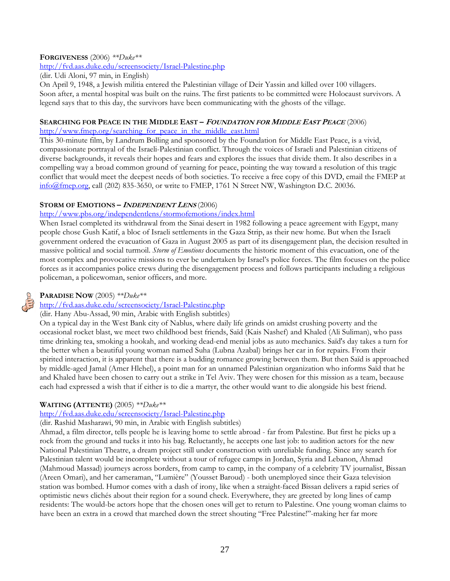## **FORGIVENESS** (2006) *\*\*Duke\*\**

# http://fvd.aas.duke.edu/screensociety/Israel-Palestine.php

#### (dir. Udi Aloni, 97 min, in English)

On April 9, 1948, a Jewish militia entered the Palestinian village of Deir Yassin and killed over 100 villagers. Soon after, a mental hospital was built on the ruins. The first patients to be committed were Holocaust survivors. A legend says that to this day, the survivors have been communicating with the ghosts of the village.

## **SEARCHING FOR PEACE IN THE MIDDLE EAST – <sup>F</sup>OUNDATION FOR MIDDLE EAST PEACE** (2006)

### http://www.fmep.org/searching\_for\_peace\_in\_the\_middle\_east.html

This 30-minute film, by Landrum Bolling and sponsored by the Foundation for Middle East Peace, is a vivid, compassionate portrayal of the Israeli-Palestinian conflict. Through the voices of Israeli and Palestinian citizens of diverse backgrounds, it reveals their hopes and fears and explores the issues that divide them. It also describes in a compelling way a broad common ground of yearning for peace, pointing the way toward a resolution of this tragic conflict that would meet the deepest needs of both societies. To receive a free copy of this DVD, email the FMEP at info@fmep.org, call (202) 835-3650, or write to FMEP, 1761 N Street NW, Washington D.C. 20036.

# STORM OF EMOTIONS - **INDEPENDENT LENS** (2006)

# http://www.pbs.org/independentlens/stormofemotions/index.html

When Israel completed its withdrawal from the Sinai desert in 1982 following a peace agreement with Egypt, many people chose Gush Katif, a bloc of Israeli settlements in the Gaza Strip, as their new home. But when the Israeli government ordered the evacuation of Gaza in August 2005 as part of its disengagement plan, the decision resulted in massive political and social turmoil. *Storm of Emotions* documents the historic moment of this evacuation, one of the most complex and provocative missions to ever be undertaken by Israel's police forces. The film focuses on the police forces as it accompanies police crews during the disengagement process and follows participants including a religious policeman, a policewoman, senior officers, and more.

# **PARADISE NOW** (2005) *\*\*Duke\*\**

# http://fvd.aas.duke.edu/screensociety/Israel-Palestine.php

# (dir. Hany Abu-Assad, 90 min, Arabic with English subtitles)

On a typical day in the West Bank city of Nablus, where daily life grinds on amidst crushing poverty and the occasional rocket blast, we meet two childhood best friends, Saïd (Kais Nashef) and Khaled (Ali Suliman), who pass time drinking tea, smoking a hookah, and working dead-end menial jobs as auto mechanics. Saïd's day takes a turn for the better when a beautiful young woman named Suha (Lubna Azabal) brings her car in for repairs. From their spirited interaction, it is apparent that there is a budding romance growing between them. But then Saïd is approached by middle-aged Jamal (Amer Hlehel), a point man for an unnamed Palestinian organization who informs Saïd that he and Khaled have been chosen to carry out a strike in Tel Aviv. They were chosen for this mission as a team, because each had expressed a wish that if either is to die a martyr, the other would want to die alongside his best friend.

# **WAITING (ATTENTE)** (2005) *\*\*Duke\*\**

# http://fvd.aas.duke.edu/screensociety/Israel-Palestine.php

(dir. Rashid Masharawi, 90 min, in Arabic with English subtitles)

Ahmad, a film director, tells people he is leaving home to settle abroad - far from Palestine. But first he picks up a rock from the ground and tucks it into his bag. Reluctantly, he accepts one last job: to audition actors for the new National Palestinian Theatre, a dream project still under construction with unreliable funding. Since any search for Palestinian talent would be incomplete without a tour of refugee camps in Jordan, Syria and Lebanon, Ahmad (Mahmoud Massad) journeys across borders, from camp to camp, in the company of a celebrity TV journalist, Bissan (Areen Omari), and her cameraman, "Lumière" (Yousset Baroud) - both unemployed since their Gaza television station was bombed. Humor comes with a dash of irony, like when a straight-faced Bissan delivers a rapid series of optimistic news clichés about their region for a sound check. Everywhere, they are greeted by long lines of camp residents: The would-be actors hope that the chosen ones will get to return to Palestine. One young woman claims to have been an extra in a crowd that marched down the street shouting "Free Palestine!"-making her far more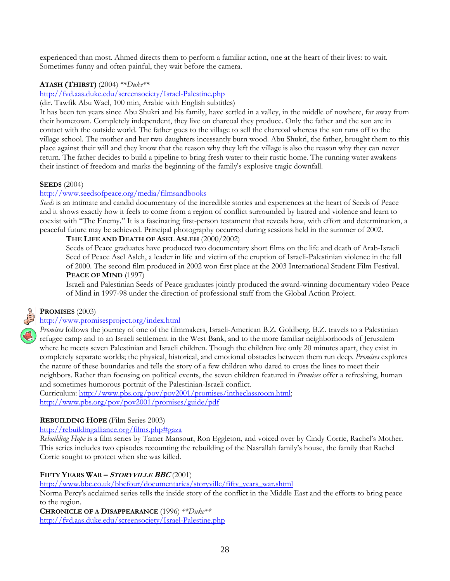experienced than most. Ahmed directs them to perform a familiar action, one at the heart of their lives: to wait. Sometimes funny and often painful, they wait before the camera.

# **ATASH (THIRST)** (2004) *\*\*Duke\*\**

http://fvd.aas.duke.edu/screensociety/Israel-Palestine.php

(dir. Tawfik Abu Wael, 100 min, Arabic with English subtitles)

It has been ten years since Abu Shukri and his family, have settled in a valley, in the middle of nowhere, far away from their hometown. Completely independent, they live on charcoal they produce. Only the father and the son are in contact with the outside world. The father goes to the village to sell the charcoal whereas the son runs off to the village school. The mother and her two daughters incessantly burn wood. Abu Shukri, the father, brought them to this place against their will and they know that the reason why they left the village is also the reason why they can never return. The father decides to build a pipeline to bring fresh water to their rustic home. The running water awakens their instinct of freedom and marks the beginning of the family's explosive tragic downfall.

#### **SEEDS** (2004)

#### http://www.seedsofpeace.org/media/filmsandbooks

*Seeds* is an intimate and candid documentary of the incredible stories and experiences at the heart of Seeds of Peace and it shows exactly how it feels to come from a region of conflict surrounded by hatred and violence and learn to coexist with "The Enemy." It is a fascinating first-person testament that reveals how, with effort and determination, a peaceful future may be achieved. Principal photography occurred during sessions held in the summer of 2002.

# **THE LIFE AND DEATH OF ASEL ASLEH** (2000/2002)

Seeds of Peace graduates have produced two documentary short films on the life and death of Arab-Israeli Seed of Peace Asel Asleh, a leader in life and victim of the eruption of Israeli-Palestinian violence in the fall of 2000. The second film produced in 2002 won first place at the 2003 International Student Film Festival. **PEACE OF MIND** (1997)

Israeli and Palestinian Seeds of Peace graduates jointly produced the award-winning documentary video Peace of Mind in 1997-98 under the direction of professional staff from the Global Action Project.

#### **PROMISES** (2003)

#### http://www.promisesproject.org/index.html



*Promises* follows the journey of one of the filmmakers, Israeli-American B.Z. Goldberg. B.Z. travels to a Palestinian refugee camp and to an Israeli settlement in the West Bank, and to the more familiar neighborhoods of Jerusalem where he meets seven Palestinian and Israeli children. Though the children live only 20 minutes apart, they exist in completely separate worlds; the physical, historical, and emotional obstacles between them run deep. *Promises* explores the nature of these boundaries and tells the story of a few children who dared to cross the lines to meet their neighbors. Rather than focusing on political events, the seven children featured in *Promises* offer a refreshing, human and sometimes humorous portrait of the Palestinian-Israeli conflict.

Curriculum: http://www.pbs.org/pov/pov2001/promises/intheclassroom.html; http://www.pbs.org/pov/pov2001/promises/guide/pdf

#### **REBUILDING HOPE** (Film Series 2003)

http://rebuildingalliance.org/films.php#gaza

*Rebuilding Hope* is a film series by Tamer Mansour, Ron Eggleton, and voiced over by Cindy Corrie, Rachel's Mother. This series includes two episodes recounting the rebuilding of the Nasrallah family's house, the family that Rachel Corrie sought to protect when she was killed.

#### **FIFTY YEARS WAR – <sup>S</sup>TORYVILLE BBC** (2001)

http://www.bbc.co.uk/bbcfour/documentaries/storyville/fifty\_years\_war.shtml

Norma Percy's acclaimed series tells the inside story of the conflict in the Middle East and the efforts to bring peace to the region.

**CHRONICLE OF A DISAPPEARANCE** (1996) *\*\*Duke\*\**

http://fvd.aas.duke.edu/screensociety/Israel-Palestine.php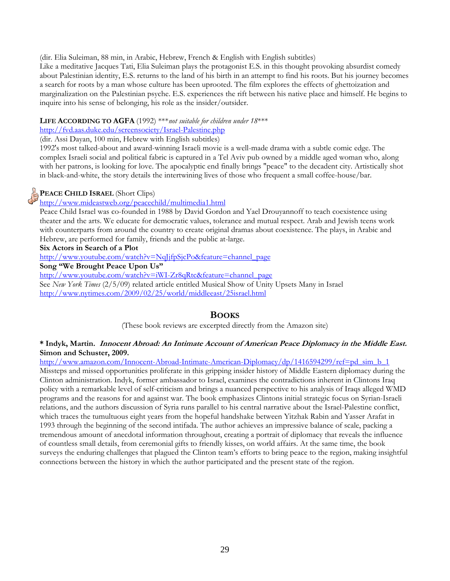(dir. Elia Suleiman, 88 min, in Arabic, Hebrew, French & English with English subtitles)

Like a meditative Jacques Tati, Elia Suleiman plays the protagonist E.S. in this thought provoking absurdist comedy about Palestinian identity, E.S. returns to the land of his birth in an attempt to find his roots. But his journey becomes a search for roots by a man whose culture has been uprooted. The film explores the effects of ghettoization and marginalization on the Palestinian psyche. E.S. experiences the rift between his native place and himself. He begins to inquire into his sense of belonging, his role as the insider/outsider.

#### **LIFE ACCORDING TO AGFA** (1992) \*\*\**not suitable for children under 18*\*\*\*

http://fvd.aas.duke.edu/screensociety/Israel-Palestine.php

(dir. Assi Dayan, 100 min, Hebrew with English subtitles)

1992's most talked-about and award-winning Israeli movie is a well-made drama with a subtle comic edge. The complex Israeli social and political fabric is captured in a Tel Aviv pub owned by a middle aged woman who, along with her patrons, is looking for love. The apocalyptic end finally brings "peace" to the decadent city. Artistically shot in black-and-white, the story details the intertwining lives of those who frequent a small coffee-house/bar.

# **PEACE CHILD ISRAEL** (Short Clips)

# http://www.mideastweb.org/peacechild/multimedia1.html

Peace Child Israel was co-founded in 1988 by David Gordon and Yael Drouyannoff to teach coexistence using theater and the arts. We educate for democratic values, tolerance and mutual respect. Arab and Jewish teens work with counterparts from around the country to create original dramas about coexistence. The plays, in Arabic and Hebrew, are performed for family, friends and the public at-large.

#### **Six Actors in Search of a Plot**

http://www.youtube.com/watch?v=NqJjfpSjcPo&feature=channel\_page

**Song "We Brought Peace Upon Us"** 

http://www.youtube.com/watch?v=iWI-Zr8qRtc&feature=channel\_page

See *New York Times* (2/5/09) related article entitled Musical Show of Unity Upsets Many in Israel http://www.nytimes.com/2009/02/25/world/middleeast/25israel.html

# **BOOKS**

(These book reviews are excerpted directly from the Amazon site)

# **\* Indyk, Martin. Innocent Abroad: An Intimate Account of American Peace Diplomacy in the Middle East. Simon and Schuster, 2009.**

http://www.amazon.com/Innocent-Abroad-Intimate-American-Diplomacy/dp/1416594299/ref=pd\_sim\_b\_1 Missteps and missed opportunities proliferate in this gripping insider history of Middle Eastern diplomacy during the Clinton administration. Indyk, former ambassador to Israel, examines the contradictions inherent in Clintons Iraq policy with a remarkable level of self-criticism and brings a nuanced perspective to his analysis of Iraqs alleged WMD programs and the reasons for and against war. The book emphasizes Clintons initial strategic focus on Syrian-Israeli relations, and the authors discussion of Syria runs parallel to his central narrative about the Israel-Palestine conflict, which traces the tumultuous eight years from the hopeful handshake between Yitzhak Rabin and Yasser Arafat in 1993 through the beginning of the second intifada. The author achieves an impressive balance of scale, packing a tremendous amount of anecdotal information throughout, creating a portrait of diplomacy that reveals the influence of countless small details, from ceremonial gifts to friendly kisses, on world affairs. At the same time, the book surveys the enduring challenges that plagued the Clinton team's efforts to bring peace to the region, making insightful connections between the history in which the author participated and the present state of the region.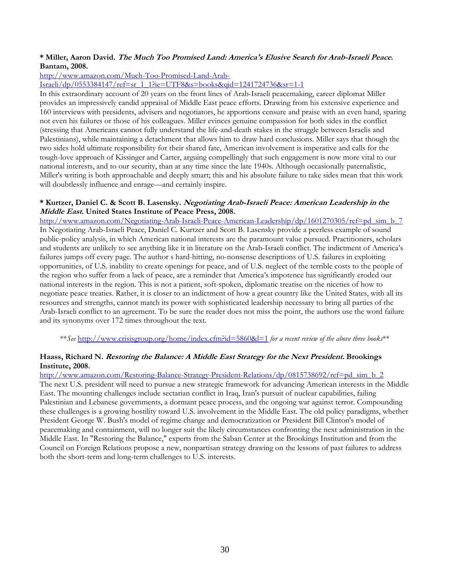# **\* Miller, Aaron David. The Much Too Promised Land: America's Elusive Search for Arab-Israeli Peace. Bantam, 2008.**

http://www.amazon.com/Much-Too-Promised-Land-Arab-

Israeli/dp/0553384147/ref=sr\_1\_1?ie=UTF8&s=books&qid=1241724736&sr=1-1

In this extraordinary account of 20 years on the front lines of Arab-Israeli peacemaking, career diplomat Miller provides an impressively candid appraisal of Middle East peace efforts. Drawing from his extensive experience and 160 interviews with presidents, advisers and negotiators, he apportions censure and praise with an even hand, sparing not even his failures or those of his colleagues. Miller evinces genuine compassion for both sides in the conflict (stressing that Americans cannot fully understand the life-and-death stakes in the struggle between Israelis and Palestinians), while maintaining a detachment that allows him to draw hard conclusions. Miller says that though the two sides hold ultimate responsibility for their shared fate, American involvement is imperative and calls for the tough-love approach of Kissinger and Carter, arguing compellingly that such engagement is now more vital to our national interests, and to our security, than at any time since the late 1940s. Although occasionally paternalistic, Miller's writing is both approachable and deeply smart; this and his absolute failure to take sides mean that this work will doubtlessly influence and enrage—and certainly inspire.

## **\* Kurtzer, Daniel C. & Scott B. Lasensky. Negotiating Arab-Israeli Peace: American Leadership in the Middle East. United States Institute of Peace Press, 2008.**

http://www.amazon.com/Negotiating-Arab-Israeli-Peace-American-Leadership/dp/1601270305/ref=pd\_sim\_b\_7 In Negotiating Arab-Israeli Peace, Daniel C. Kurtzer and Scott B. Lasensky provide a peerless example of sound public-policy analysis, in which American national interests are the paramount value pursued. Practitioners, scholars and students are unlikely to see anything like it in literature on the Arab-Israeli conflict. The indictment of America's failures jumps off every page. The author s hard-hitting, no-nonsense descriptions of U.S. failures in exploiting opportunities, of U.S. inability to create openings for peace, and of U.S. neglect of the terrible costs to the people of the region who suffer from a lack of peace, are a reminder that America's impotence has significantly eroded our national interests in the region. This is not a patient, soft-spoken, diplomatic treatise on the niceties of how to negotiate peace treaties. Rather, it is closer to an indictment of how a great country like the United States, with all its resources and strengths, cannot match its power with sophisticated leadership necessary to bring all parties of the Arab-Israeli conflict to an agreement. To be sure the reader does not miss the point, the authors use the word failure and its synonyms over 172 times throughout the text.

\*\**See* http://www.crisisgroup.org/home/index.cfm?id=5860&l=1 *for a recent review of the above three books*\*\*

# **Haass, Richard N. Restoring the Balance: A Middle East Strategy for the Next President. Brookings Institute, 2008.**

http://www.amazon.com/Restoring-Balance-Strategy-President-Relations/dp/0815738692/ref=pd\_sim\_b\_2 The next U.S. president will need to pursue a new strategic framework for advancing American interests in the Middle

East. The mounting challenges include sectarian conflict in Iraq, Iran's pursuit of nuclear capabilities, failing Palestinian and Lebanese governments, a dormant peace process, and the ongoing war against terror. Compounding these challenges is a growing hostility toward U.S. involvement in the Middle East. The old policy paradigms, whether President George W. Bush's model of regime change and democratization or President Bill Clinton's model of peacemaking and containment, will no longer suit the likely circumstances confronting the next administration in the Middle East. In "Restoring the Balance," experts from the Saban Center at the Brookings Institution and from the Council on Foreign Relations propose a new, nonpartisan strategy drawing on the lessons of past failures to address both the short-term and long-term challenges to U.S. interests.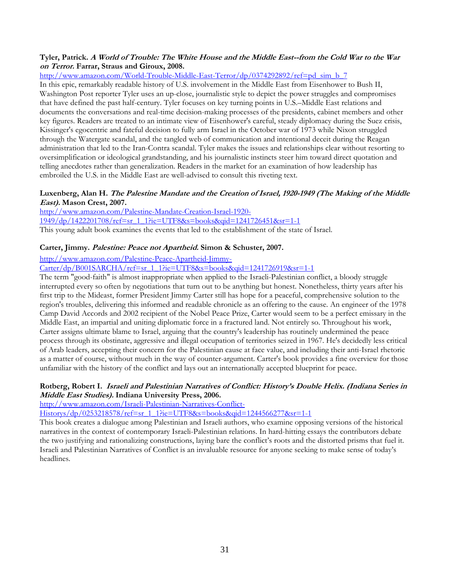# **Tyler, Patrick. A World of Trouble: The White House and the Middle East--from the Cold War to the War on Terror. Farrar, Straus and Giroux, 2008.**

http://www.amazon.com/World-Trouble-Middle-East-Terror/dp/0374292892/ref=pd\_sim\_b\_7

In this epic, remarkably readable history of U.S. involvement in the Middle East from Eisenhower to Bush II, Washington Post reporter Tyler uses an up-close, journalistic style to depict the power struggles and compromises that have defined the past half-century. Tyler focuses on key turning points in U.S.–Middle East relations and documents the conversations and real-time decision-making processes of the presidents, cabinet members and other key figures. Readers are treated to an intimate view of Eisenhower's careful, steady diplomacy during the Suez crisis, Kissinger's egocentric and fateful decision to fully arm Israel in the October war of 1973 while Nixon struggled through the Watergate scandal, and the tangled web of communication and intentional deceit during the Reagan administration that led to the Iran-Contra scandal. Tyler makes the issues and relationships clear without resorting to oversimplification or ideological grandstanding, and his journalistic instincts steer him toward direct quotation and telling anecdotes rather than generalization. Readers in the market for an examination of how leadership has embroiled the U.S. in the Middle East are well-advised to consult this riveting text.

# **Luxenberg, Alan H. The Palestine Mandate and the Creation of Israel, 1920-1949 (The Making of the Middle East). Mason Crest, 2007.**

http://www.amazon.com/Palestine-Mandate-Creation-Israel-1920- 1949/dp/1422201708/ref=sr\_1\_1?ie=UTF8&s=books&qid=1241726451&sr=1-1 This young adult book examines the events that led to the establishment of the state of Israel.

# **Carter, Jimmy. Palestine: Peace not Apartheid. Simon & Schuster, 2007.**

http://www.amazon.com/Palestine-Peace-Apartheid-Jimmy-

Carter/dp/B001SARCHA/ref=sr\_1\_1?ie=UTF8&s=books&qid=1241726919&sr=1-1

The term "good-faith" is almost inappropriate when applied to the Israeli-Palestinian conflict, a bloody struggle interrupted every so often by negotiations that turn out to be anything but honest. Nonetheless, thirty years after his first trip to the Mideast, former President Jimmy Carter still has hope for a peaceful, comprehensive solution to the region's troubles, delivering this informed and readable chronicle as an offering to the cause. An engineer of the 1978 Camp David Accords and 2002 recipient of the Nobel Peace Prize, Carter would seem to be a perfect emissary in the Middle East, an impartial and uniting diplomatic force in a fractured land. Not entirely so. Throughout his work, Carter assigns ultimate blame to Israel, arguing that the country's leadership has routinely undermined the peace process through its obstinate, aggressive and illegal occupation of territories seized in 1967. He's decidedly less critical of Arab leaders, accepting their concern for the Palestinian cause at face value, and including their anti-Israel rhetoric as a matter of course, without much in the way of counter-argument. Carter's book provides a fine overview for those unfamiliar with the history of the conflict and lays out an internationally accepted blueprint for peace.

# **Rotberg, Robert I. Israeli and Palestinian Narratives of Conflict: History's Double Helix. (Indiana Series in Middle East Studies). Indiana University Press, 2006.**

http://www.amazon.com/Israeli-Palestinian-Narratives-Conflict-

Historys/dp/0253218578/ref=sr\_1\_1?ie=UTF8&s=books&qid=1244566277&sr=1-1

This book creates a dialogue among Palestinian and Israeli authors, who examine opposing versions of the historical narratives in the context of contemporary Israeli-Palestinian relations. In hard-hitting essays the contributors debate the two justifying and rationalizing constructions, laying bare the conflict's roots and the distorted prisms that fuel it. Israeli and Palestinian Narratives of Conflict is an invaluable resource for anyone seeking to make sense of today's headlines.